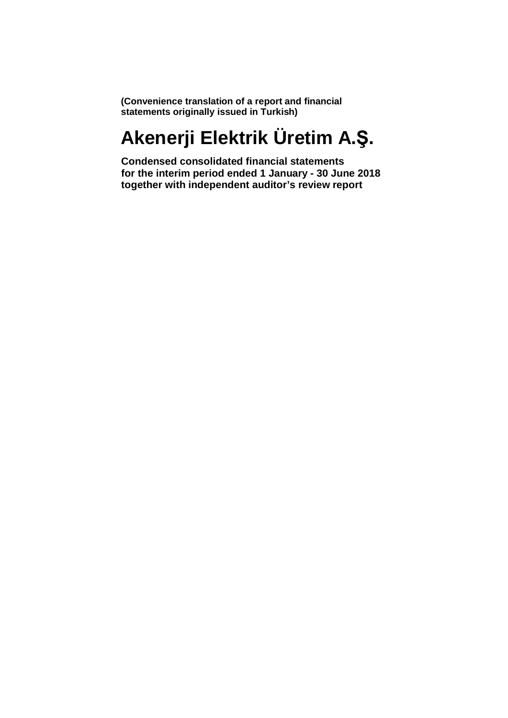**(Convenience translation of a report and financial statements originally issued in Turkish)**

# **Akenerji Elektrik Üretim A.Ş.**

**Condensed consolidated financial statements for the interim period ended 1 January - 30 June 2018 together with independent auditor's review report**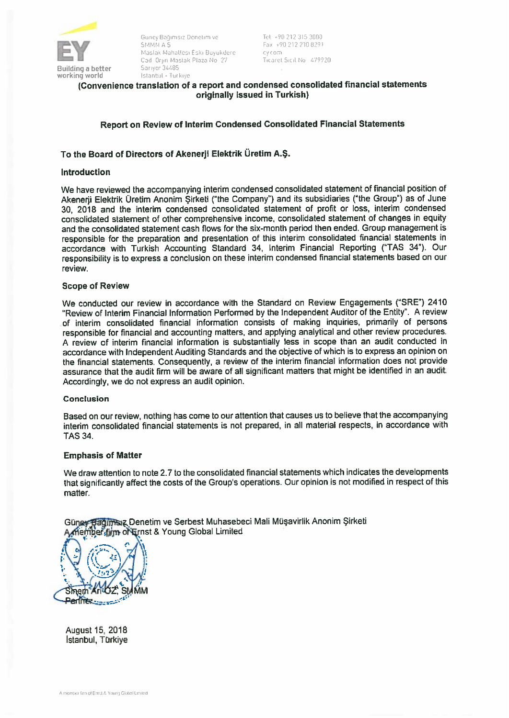

Guney Bağımsız Denetim ve Tel +90 212 315 3000 EX +90 212 230 8291<br>EX Maslak Mahallesi Eski Buyukdere eye air, cy com<br>Cad Orpn Maslak Plaza No 27 Ticaret Sicil No 6479920 Istanbul - Tur kıye

# (Convenience translation of <sup>a</sup> repor<sup>t</sup> and condensed consolidated fınancial statements originally issued in Turkish)

# Report on Review of Interim Condensed Consolidated Financial Statements

# To the Board of Directors of Akenerji Elektrik <sup>Ü</sup>retim A.Ş.

# **Introduction**

We have reviewed the accompanying interim condensed consolidated statement of fınancial position of Akenerji Elektrik Üretim Anonim Şirketi ('the Company") and its subsidiaries ("the Group") as of June 30, <sup>2018</sup> and the interim condensed consolidated statement of proftt or Ioss, interim condensed consolidated statement of other comprehensive income, consolidated statement of changes in equity and the consolidated statement cash fiows for the six-month period then ended. Group managemen<sup>t</sup> is responsible for the preparation and presentation of this interim consolidated financial statements in accordance with Turkish Accounting Standard 34, Interim Financial Reporting ("TAS 34"). Our responsibility is to express a conclusion on these interim condensed financial statements based on our review.

## Scope of Review

We conducted our review in accordance with the Standard on Review Engagements ("SRE") 2410 "Review of Interim Financial Information Performed by the Independent Auditor of the Entity". A review of interim consolidated financial information consists of making inquiries, primarily of persons responsible for financial and accounting matters, and applying analytical and other review procedures. <sup>A</sup> review of interim financial information is substantially less in scope than an audit conducted in accordance with lndependent Auditing Standards and the objective of which is to express an opinion on the financial statements. Consequently, <sup>a</sup> review of the interim fınancial information does not provide assurance that the audit firm will be aware of all significant matters that might be identified in an audit. Accordingly, we da not express an audit opinion.

# Conclusion

Based on our review, nothing has come to our attention that causes us to believe that the accompanying interim consolidated financial statements is not prepared, in all material respects, in accordance with TAS 34.

## Emphasis of Matter

We draw attention to note 2.7 to the consolidated financial statements which indicates the developments that significantly affect the costs of the Group's operations. Our opinion is not modified in respect of this matter.

Güney Bağlımsız Denetim ve Serbest Muhasebeci Mali Müşavirlik Anonim Şirketi member firm of Ernst & Young Global Limited



August 15, 2018 Istanbul, Türkiye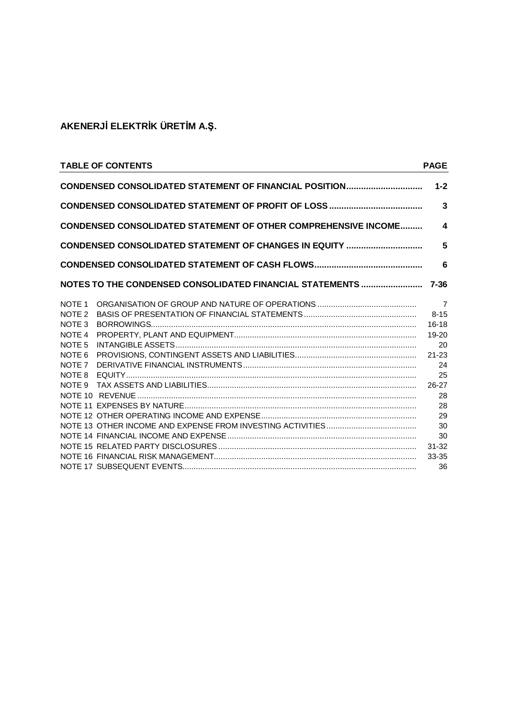|                                                                   | <b>TABLE OF CONTENTS</b>                                 | <b>PAGE</b>    |  |  |  |  |
|-------------------------------------------------------------------|----------------------------------------------------------|----------------|--|--|--|--|
| CONDENSED CONSOLIDATED STATEMENT OF FINANCIAL POSITION<br>$1 - 2$ |                                                          |                |  |  |  |  |
| 3                                                                 |                                                          |                |  |  |  |  |
| CONDENSED CONSOLIDATED STATEMENT OF OTHER COMPREHENSIVE INCOME    |                                                          |                |  |  |  |  |
|                                                                   | CONDENSED CONSOLIDATED STATEMENT OF CHANGES IN EQUITY    | 5              |  |  |  |  |
|                                                                   |                                                          | 6              |  |  |  |  |
|                                                                   | NOTES TO THE CONDENSED CONSOLIDATED FINANCIAL STATEMENTS | $7 - 36$       |  |  |  |  |
| NOTE <sub>1</sub>                                                 |                                                          | $\overline{7}$ |  |  |  |  |
| NOTE <sub>2</sub>                                                 |                                                          | $8 - 15$       |  |  |  |  |
| NOTE <sub>3</sub>                                                 |                                                          | $16 - 18$      |  |  |  |  |
| NOTE <sub>4</sub>                                                 |                                                          | $19 - 20$      |  |  |  |  |
| NOTE <sub>5</sub>                                                 |                                                          | 20             |  |  |  |  |
| NOTE <sub>6</sub>                                                 |                                                          | $21 - 23$      |  |  |  |  |
| NOTE <sub>7</sub>                                                 |                                                          | 24             |  |  |  |  |
| NOTE 8                                                            |                                                          | 25             |  |  |  |  |
| NOTE 9                                                            |                                                          | $26 - 27$      |  |  |  |  |
|                                                                   |                                                          | 28             |  |  |  |  |
|                                                                   |                                                          | 28             |  |  |  |  |
|                                                                   |                                                          | 29             |  |  |  |  |
|                                                                   |                                                          | 30             |  |  |  |  |
|                                                                   |                                                          | 30             |  |  |  |  |
|                                                                   |                                                          | $31 - 32$      |  |  |  |  |
|                                                                   |                                                          | 33-35          |  |  |  |  |
|                                                                   |                                                          | 36             |  |  |  |  |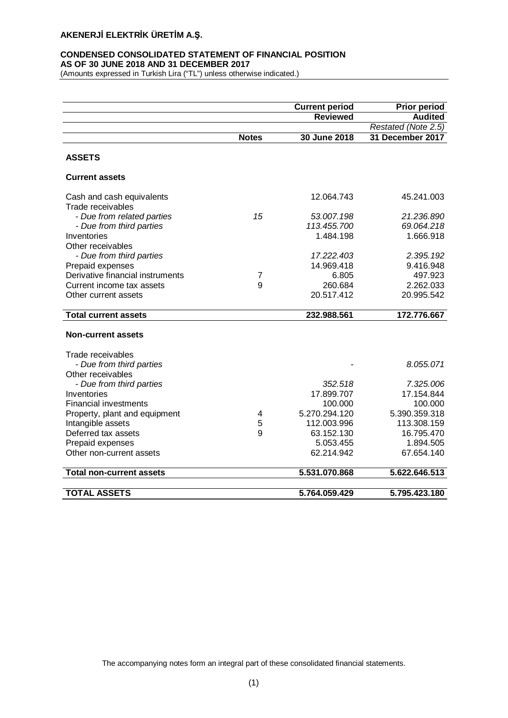## **CONDENSED CONSOLIDATED STATEMENT OF FINANCIAL POSITION AS OF 30 JUNE 2018 AND 31 DECEMBER 2017**

(Amounts expressed in Turkish Lira ("TL") unless otherwise indicated.)

|                                  |              | <b>Current period</b> | <b>Prior period</b> |
|----------------------------------|--------------|-----------------------|---------------------|
|                                  |              | <b>Reviewed</b>       | <b>Audited</b>      |
|                                  |              |                       | Restated (Note 2.5) |
|                                  | <b>Notes</b> | 30 June 2018          | 31 December 2017    |
| <b>ASSETS</b>                    |              |                       |                     |
| <b>Current assets</b>            |              |                       |                     |
| Cash and cash equivalents        |              | 12.064.743            | 45.241.003          |
| Trade receivables                |              |                       |                     |
| - Due from related parties       | 15           | 53.007.198            | 21.236.890          |
| - Due from third parties         |              | 113.455.700           | 69.064.218          |
| Inventories                      |              | 1.484.198             | 1.666.918           |
| Other receivables                |              |                       |                     |
| - Due from third parties         |              | 17.222.403            | 2.395.192           |
| Prepaid expenses                 |              | 14.969.418            | 9.416.948           |
| Derivative financial instruments | 7            | 6.805                 | 497.923             |
| Current income tax assets        | 9            | 260.684               | 2.262.033           |
| Other current assets             |              | 20.517.412            | 20.995.542          |
| <b>Total current assets</b>      |              | 232.988.561           | 172.776.667         |
|                                  |              |                       |                     |
| <b>Non-current assets</b>        |              |                       |                     |
| Trade receivables                |              |                       |                     |
| - Due from third parties         |              |                       | 8.055.071           |
| Other receivables                |              |                       |                     |
| - Due from third parties         |              | 352.518               | 7.325.006           |
| Inventories                      |              | 17.899.707            | 17.154.844          |
| <b>Financial investments</b>     |              | 100.000               | 100.000             |
| Property, plant and equipment    | 4            | 5.270.294.120         | 5.390.359.318       |
| Intangible assets                | 5            | 112.003.996           | 113.308.159         |
| Deferred tax assets              | 9            | 63.152.130            | 16.795.470          |
| Prepaid expenses                 |              | 5.053.455             | 1.894.505           |
| Other non-current assets         |              | 62.214.942            | 67.654.140          |
| <b>Total non-current assets</b>  |              | 5.531.070.868         | 5.622.646.513       |
|                                  |              |                       |                     |
| <b>TOTAL ASSETS</b>              |              | 5.764.059.429         | 5.795.423.180       |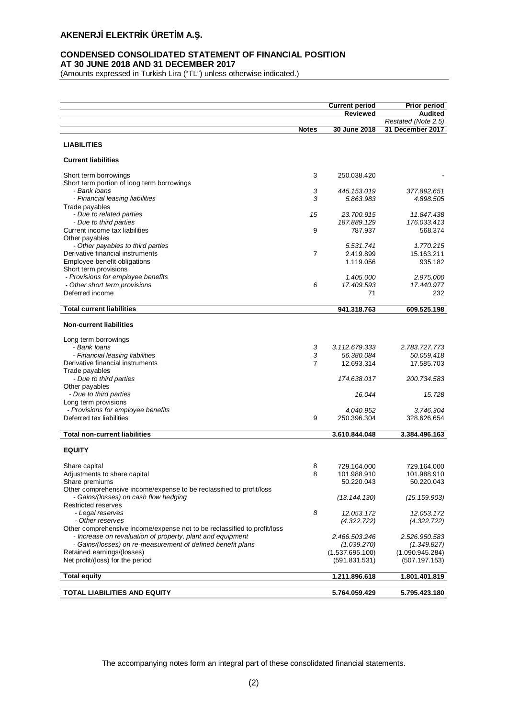## **CONDENSED CONSOLIDATED STATEMENT OF FINANCIAL POSITION AT 30 JUNE 2018 AND 31 DECEMBER 2017**

(Amounts expressed in Turkish Lira ("TL") unless otherwise indicated.)

|                                                                          |              | <b>Current period</b>     | <b>Prior period</b>       |
|--------------------------------------------------------------------------|--------------|---------------------------|---------------------------|
|                                                                          |              | <b>Reviewed</b>           | <b>Audited</b>            |
|                                                                          |              |                           | Restated (Note 2.5)       |
|                                                                          | <b>Notes</b> | 30 June 2018              | 31 December 2017          |
| <b>LIABILITIES</b>                                                       |              |                           |                           |
| <b>Current liabilities</b>                                               |              |                           |                           |
| Short term borrowings                                                    | 3            | 250.038.420               |                           |
| Short term portion of long term borrowings                               |              |                           |                           |
| - Bank Ioans                                                             | 3            | 445.153.019               | 377.892.651               |
| - Financial leasing liabilities                                          | 3            | 5.863.983                 | 4.898.505                 |
| Trade payables                                                           |              |                           |                           |
| - Due to related parties<br>- Due to third parties                       | 15           | 23.700.915<br>187.889.129 | 11.847.438<br>176.033.413 |
| Current income tax liabilities                                           | 9            | 787.937                   | 568.374                   |
| Other payables                                                           |              |                           |                           |
| - Other payables to third parties                                        |              | 5.531.741                 | 1.770.215                 |
| Derivative financial instruments                                         | 7            | 2.419.899                 | 15.163.211                |
| Employee benefit obligations                                             |              | 1.119.056                 | 935.182                   |
| Short term provisions                                                    |              |                           |                           |
| - Provisions for employee benefits                                       |              | 1.405.000                 | 2.975.000                 |
| - Other short term provisions<br>Deferred income                         | 6            | 17.409.593<br>71          | 17.440.977<br>232         |
|                                                                          |              |                           |                           |
| <b>Total current liabilities</b>                                         |              | 941.318.763               | 609.525.198               |
| <b>Non-current liabilities</b>                                           |              |                           |                           |
| Long term borrowings                                                     |              |                           |                           |
| - Bank loans                                                             | 3            | 3.112.679.333             | 2.783.727.773             |
| - Financial leasing liabilities                                          | 3            | 56.380.084                | 50.059.418                |
| Derivative financial instruments                                         | 7            | 12.693.314                | 17.585.703                |
| Trade payables                                                           |              |                           |                           |
| - Due to third parties<br>Other payables                                 |              | 174.638.017               | 200.734.583               |
| - Due to third parties                                                   |              | 16.044                    | 15.728                    |
| Long term provisions                                                     |              |                           |                           |
| - Provisions for employee benefits                                       |              | 4.040.952                 | 3.746.304                 |
| Deferred tax liabilities                                                 | 9            | 250.396.304               | 328.626.654               |
| <b>Total non-current liabilities</b>                                     |              | 3.610.844.048             | 3.384.496.163             |
|                                                                          |              |                           |                           |
| <b>EQUITY</b>                                                            |              |                           |                           |
| Share capital                                                            | 8            | 729.164.000               | 729.164.000               |
| Adjustments to share capital                                             | 8            | 101.988.910               | 101.988.910               |
| Share premiums                                                           |              | 50.220.043                | 50.220.043                |
| Other comprehensive income/expense to be reclassified to profit/loss     |              |                           |                           |
| - Gains/(losses) on cash flow hedging                                    |              | (13.144.130)              | (15.159.903)              |
| Restricted reserves<br>- Legal reserves                                  | 8            | 12.053.172                |                           |
| - Other reserves                                                         |              | (4.322.722)               | 12.053.172<br>(4.322.722) |
| Other comprehensive income/expense not to be reclassified to profit/loss |              |                           |                           |
| - Increase on revaluation of property, plant and equipment               |              | 2.466.503.246             | 2.526.950.583             |
| - Gains/(losses) on re-measurement of defined benefit plans              |              | (1.039.270)               | (1.349.827)               |
| Retained earnings/(losses)                                               |              | (1.537.695.100)           | (1.090.945.284)           |
| Net profit/(loss) for the period                                         |              | (591.831.531)             | (507.197.153)             |
| <b>Total equity</b>                                                      |              | 1.211.896.618             | 1.801.401.819             |
|                                                                          |              |                           |                           |
| TOTAL LIABILITIES AND EQUITY                                             |              | 5.764.059.429             | 5.795.423.180             |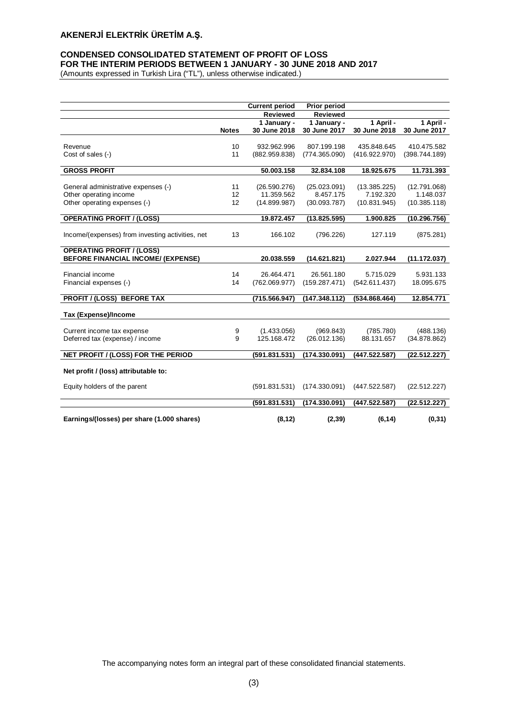## **CONDENSED CONSOLIDATED STATEMENT OF PROFIT OF LOSS FOR THE INTERIM PERIODS BETWEEN 1 JANUARY - 30 JUNE 2018 AND 2017**

(Amounts expressed in Turkish Lira ("TL"), unless otherwise indicated.)

|                                                               |              | <b>Current period</b>      | <b>Prior period</b>       |               |                           |
|---------------------------------------------------------------|--------------|----------------------------|---------------------------|---------------|---------------------------|
|                                                               |              | <b>Reviewed</b>            | <b>Reviewed</b>           |               |                           |
|                                                               |              | 1 January -                | 1 January -               | 1 April -     | 1 April -                 |
|                                                               | <b>Notes</b> | 30 June 2018               | 30 June 2017              | 30 June 2018  | 30 June 2017              |
| Revenue                                                       | 10           | 932.962.996                | 807.199.198               | 435.848.645   | 410.475.582               |
| Cost of sales (-)                                             | 11           | (882.959.838)              | (774.365.090)             | (416.922.970) | (398.744.189)             |
|                                                               |              |                            |                           |               |                           |
| <b>GROSS PROFIT</b>                                           |              | 50.003.158                 | 32.834.108                | 18.925.675    | 11.731.393                |
|                                                               | 11           |                            |                           | (13.385.225)  |                           |
| General administrative expenses (-)<br>Other operating income | 12           | (26.590.276)<br>11.359.562 | (25.023.091)<br>8.457.175 | 7.192.320     | (12.791.068)<br>1.148.037 |
| Other operating expenses (-)                                  | 12           | (14.899.987)               | (30.093.787)              | (10.831.945)  | (10.385.118)              |
|                                                               |              |                            |                           |               |                           |
| <b>OPERATING PROFIT / (LOSS)</b>                              |              | 19.872.457                 | (13.825.595)              | 1.900.825     | (10.296.756)              |
|                                                               |              |                            |                           |               |                           |
| Income/(expenses) from investing activities, net              | 13           | 166.102                    | (796.226)                 | 127.119       | (875.281)                 |
| <b>OPERATING PROFIT / (LOSS)</b>                              |              |                            |                           |               |                           |
| <b>BEFORE FINANCIAL INCOME/ (EXPENSE)</b>                     |              | 20.038.559                 | (14.621.821)              | 2.027.944     | (11.172.037)              |
| Financial income                                              | 14           | 26.464.471                 | 26.561.180                | 5.715.029     | 5.931.133                 |
| Financial expenses (-)                                        | 14           | (762.069.977)              | (159.287.471)             | (542.611.437) | 18.095.675                |
|                                                               |              |                            |                           |               |                           |
| <b>PROFIT / (LOSS) BEFORE TAX</b>                             |              | (715.566.947)              | (147.348.112)             | (534.868.464) | 12.854.771                |
| Tax (Expense)/Income                                          |              |                            |                           |               |                           |
|                                                               |              |                            |                           |               |                           |
| Current income tax expense                                    | 9            | (1.433.056)                | (969.843)                 | (785.780)     | (488.136)                 |
| Deferred tax (expense) / income                               | 9            | 125.168.472                | (26.012.136)              | 88.131.657    | (34.878.862)              |
| NET PROFIT / (LOSS) FOR THE PERIOD                            |              | (591.831.531)              | (174.330.091)             | (447.522.587) | (22.512.227)              |
|                                                               |              |                            |                           |               |                           |
| Net profit / (loss) attributable to:                          |              |                            |                           |               |                           |
| Equity holders of the parent                                  |              | (591.831.531)              | (174.330.091)             | (447.522.587) | (22.512.227)              |
|                                                               |              |                            |                           |               |                           |
|                                                               |              | (591.831.531)              | (174.330.091)             | (447.522.587) | (22.512.227)              |
| Earnings/(losses) per share (1.000 shares)                    |              | (8, 12)                    | (2, 39)                   | (6, 14)       | (0, 31)                   |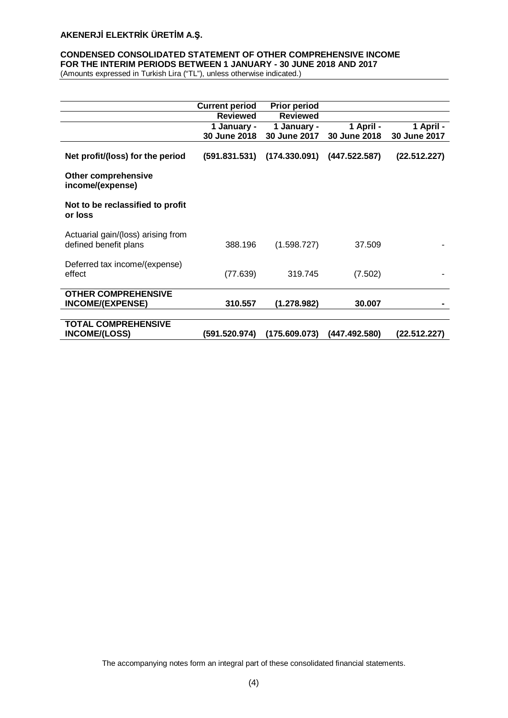## **CONDENSED CONSOLIDATED STATEMENT OF OTHER COMPREHENSIVE INCOME FOR THE INTERIM PERIODS BETWEEN 1 JANUARY - 30 JUNE 2018 AND 2017**

(Amounts expressed in Turkish Lira ("TL"), unless otherwise indicated.)

|                                                             | <b>Current period</b> | <b>Prior period</b> |               |              |
|-------------------------------------------------------------|-----------------------|---------------------|---------------|--------------|
|                                                             | <b>Reviewed</b>       | <b>Reviewed</b>     |               |              |
|                                                             | 1 January -           | 1 January -         | 1 April -     | 1 April -    |
|                                                             | 30 June 2018          | 30 June 2017        | 30 June 2018  | 30 June 2017 |
| Net profit/(loss) for the period                            | (591.831.531)         | (174.330.091)       | (447.522.587) | (22.512.227) |
| <b>Other comprehensive</b><br>income/(expense)              |                       |                     |               |              |
| Not to be reclassified to profit<br>or loss                 |                       |                     |               |              |
| Actuarial gain/(loss) arising from<br>defined benefit plans | 388.196               | (1.598.727)         | 37.509        |              |
| Deferred tax income/(expense)<br>effect                     | (77.639)              | 319.745             | (7.502)       |              |
| <b>OTHER COMPREHENSIVE</b><br><b>INCOME/(EXPENSE)</b>       | 310.557               | (1.278.982)         | 30.007        |              |
| <b>TOTAL COMPREHENSIVE</b><br><b>INCOME/(LOSS)</b>          | (591.520.974)         | (175.609.073)       | (447.492.580) | (22.512.227) |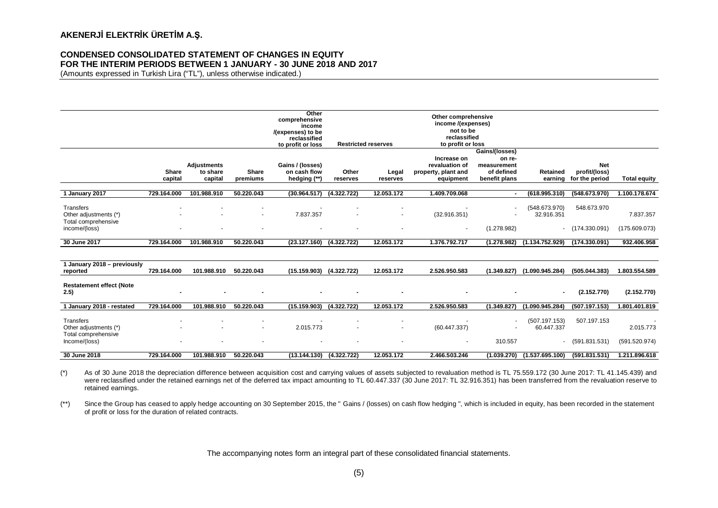# **CONDENSED CONSOLIDATED STATEMENT OF CHANGES IN EQUITY FOR THE INTERIM PERIODS BETWEEN 1 JANUARY - 30 JUNE 2018 AND 2017**

(Amounts expressed in Turkish Lira ("TL"), unless otherwise indicated.)

|                                                           |                  |                                           |                          | Other<br>comprehensive<br>income<br>/(expenses) to be<br>reclassified<br>to profit or loss |                   | <b>Restricted reserves</b> | Other comprehensive<br>income /(expenses)<br>not to be<br>reclassified<br>to profit or loss | Gains/(losses)                                       |                             |                                               |                     |
|-----------------------------------------------------------|------------------|-------------------------------------------|--------------------------|--------------------------------------------------------------------------------------------|-------------------|----------------------------|---------------------------------------------------------------------------------------------|------------------------------------------------------|-----------------------------|-----------------------------------------------|---------------------|
|                                                           | Share<br>capital | <b>Adjustments</b><br>to share<br>capital | <b>Share</b><br>premiums | Gains / (losses)<br>on cash flow<br>hedging (**)                                           | Other<br>reserves | Legal<br>reserves          | Increase on<br>revaluation of<br>property, plant and<br>equipment                           | on re-<br>measurement<br>of defined<br>benefit plans | Retained<br>earning         | <b>Net</b><br>profit/(loss)<br>for the period | <b>Total equity</b> |
| 1 January 2017                                            | 729.164.000      | 101.988.910                               | 50.220.043               | (30.964.517)                                                                               | (4.322.722)       | 12.053.172                 | 1.409.709.068                                                                               |                                                      | (618.995.310)               | (548.673.970)                                 | 1.100.178.674       |
| Transfers<br>Other adjustments (*)<br>Total comprehensive |                  |                                           |                          | 7.837.357                                                                                  |                   |                            | (32.916.351)                                                                                |                                                      | (548.673.970)<br>32.916.351 | 548.673.970                                   | 7.837.357           |
| income/(loss)                                             |                  |                                           |                          |                                                                                            |                   |                            | $\blacksquare$                                                                              | (1.278.982)                                          |                             | $-$ (174.330.091)                             | (175.609.073)       |
| 30 June 2017                                              | 729.164.000      | 101.988.910                               | 50.220.043               | (23.127.160)                                                                               | (4.322.722)       | 12.053.172                 | 1.376.792.717                                                                               | (1.278.982)                                          | (1.134.752.929)             | (174.330.091)                                 | 932.406.958         |
| 1 January 2018 - previously<br>reported                   | 729.164.000      | 101.988.910                               | 50.220.043               | (15.159.903)                                                                               | (4.322.722)       | 12.053.172                 | 2.526.950.583                                                                               | (1.349.827)                                          | (1.090.945.284)             | (505.044.383)                                 | 1.803.554.589       |
| <b>Restatement effect (Note</b><br>2.5)                   |                  |                                           |                          |                                                                                            |                   |                            |                                                                                             |                                                      | $\sim$                      | (2.152.770)                                   | (2.152.770)         |
| 1 January 2018 - restated                                 | 729.164.000      | 101.988.910                               | 50.220.043               | (15.159.903)                                                                               | (4.322.722)       | 12.053.172                 | 2.526.950.583                                                                               | (1.349.827)                                          | (1.090.945.284)             | (507.197.153)                                 | 1.801.401.819       |
| Transfers<br>Other adjustments (*)<br>Total comprehensive |                  |                                           |                          | 2.015.773                                                                                  |                   |                            | (60.447.337)                                                                                |                                                      | (507.197.153)<br>60.447.337 | 507.197.153                                   | 2.015.773           |
| Income/(loss)                                             |                  |                                           |                          |                                                                                            |                   |                            |                                                                                             | 310.557                                              | $\sim$                      | (591.831.531)                                 | (591.520.974)       |
| 30 June 2018                                              | 729.164.000      | 101.988.910                               | 50.220.043               | (13.144.130)                                                                               | (4.322.722)       | 12.053.172                 | 2.466.503.246                                                                               | (1.039.270)                                          | (1.537.695.100)             | (591.831.531)                                 | 1.211.896.618       |

(\*) As of 30 June 2018 the depreciation difference between acquisition cost and carrying values of assets subjected to revaluation method is TL 75.559.172 (30 June 2017: TL 41.145.439) and were reclassified under the retained earnings net of the deferred tax impact amounting to TL 60.447.337 (30 June 2017: TL 32.916.351) has been transferred from the revaluation reserve to retained earnings.

(\*\*) Since the Group has ceased to apply hedge accounting on 30 September 2015, the " Gains / (losses) on cash flow hedging ", which is included in equity, has been recorded in the statement of profit or loss for the duration of related contracts.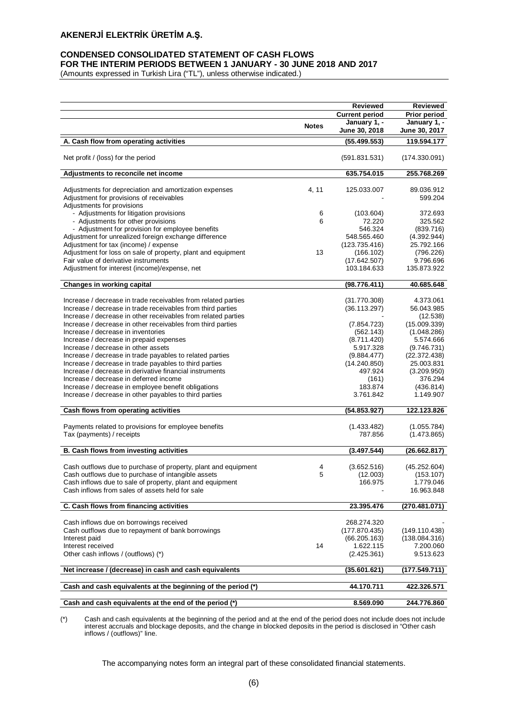## **CONDENSED CONSOLIDATED STATEMENT OF CASH FLOWS FOR THE INTERIM PERIODS BETWEEN 1 JANUARY - 30 JUNE 2018 AND 2017**

(Amounts expressed in Turkish Lira ("TL"), unless otherwise indicated.)

|                                                                                                    |              | <b>Reviewed</b>               | Reviewed                      |
|----------------------------------------------------------------------------------------------------|--------------|-------------------------------|-------------------------------|
|                                                                                                    |              | <b>Current period</b>         | Prior period                  |
|                                                                                                    | <b>Notes</b> | January 1, -<br>June 30, 2018 | January 1, -<br>June 30, 2017 |
| A. Cash flow from operating activities                                                             |              | (55.499.553)                  | 119.594.177                   |
| Net profit / (loss) for the period                                                                 |              | (591.831.531)                 | (174.330.091)                 |
| Adjustments to reconcile net income                                                                |              | 635.754.015                   | 255.768.269                   |
|                                                                                                    |              |                               |                               |
| Adjustments for depreciation and amortization expenses<br>Adjustment for provisions of receivables | 4, 11        | 125.033.007                   | 89.036.912<br>599.204         |
| Adjustments for provisions                                                                         |              |                               |                               |
| - Adjustments for litigation provisions                                                            | 6            | (103.604)                     | 372.693                       |
| - Adjustments for other provisions                                                                 | 6            | 72.220                        | 325.562                       |
| - Adjustment for provision for employee benefits                                                   |              | 546.324                       | (839.716)                     |
| Adjustment for unrealized foreign exchange difference                                              |              | 548.565.460                   | (4.392.944)                   |
| Adjustment for tax (income) / expense                                                              |              | (123.735.416)                 | 25.792.166                    |
| Adjustment for loss on sale of property, plant and equipment                                       | 13           | (166.102)                     | (796.226)                     |
| Fair value of derivative instruments                                                               |              | (17.642.507)                  | 9.796.696                     |
| Adjustment for interest (income)/expense, net                                                      |              | 103.184.633                   | 135.873.922                   |
| Changes in working capital                                                                         |              | (98.776.411)                  | 40.685.648                    |
|                                                                                                    |              |                               |                               |
| Increase / decrease in trade receivables from related parties                                      |              | (31.770.308)                  | 4.373.061                     |
| Increase / decrease in trade receivables from third parties                                        |              | (36.113.297)                  | 56.043.985                    |
| Increase / decrease in other receivables from related parties                                      |              |                               | (12.538)                      |
| Increase / decrease in other receivables from third parties                                        |              | (7.854.723)                   | (15.009.339)                  |
| Increase / decrease in inventories                                                                 |              | (562.143)                     | (1.048.286)                   |
| Increase / decrease in prepaid expenses                                                            |              | (8.711.420)                   | 5.574.666                     |
| Increase / decrease in other assets                                                                |              | 5.917.328                     | (9.746.731)                   |
| Increase / decrease in trade payables to related parties                                           |              | (9.884.477)                   | (22.372.438)                  |
| Increase / decrease in trade payables to third parties                                             |              | (14.240.850)                  | 25.003.831                    |
| Increase / decrease in derivative financial instruments                                            |              | 497.924                       | (3.209.950)<br>376.294        |
| Increase / decrease in deferred income                                                             |              | (161)<br>183.874              |                               |
| Increase / decrease in employee benefit obligations                                                |              |                               | (436.814)<br>1.149.907        |
| Increase / decrease in other payables to third parties                                             |              | 3.761.842                     |                               |
| Cash flows from operating activities                                                               |              | (54.853.927)                  | 122.123.826                   |
| Payments related to provisions for employee benefits                                               |              | (1.433.482)                   | (1.055.784)                   |
| Tax (payments) / receipts                                                                          |              | 787.856                       | (1.473.865)                   |
|                                                                                                    |              |                               |                               |
| B. Cash flows from investing activities                                                            |              | (3.497.544)                   | (26.662.817)                  |
| Cash outflows due to purchase of property, plant and equipment                                     | 4            | (3.652.516)                   | (45.252.604)                  |
| Cash outflows due to purchase of intangible assets                                                 | 5            | (12.003)                      | (153.107)                     |
| Cash inflows due to sale of property, plant and equipment                                          |              | 166.975                       | 1.779.046                     |
| Cash inflows from sales of assets held for sale                                                    |              |                               | 16.963.848                    |
| C. Cash flows from financing activities                                                            |              | 23.395.476                    | (270.481.071)                 |
|                                                                                                    |              |                               |                               |
| Cash inflows due on borrowings received                                                            |              | 268.274.320                   |                               |
| Cash outflows due to repayment of bank borrowings                                                  |              | (177.870.435)                 | (149.110.438)                 |
| Interest paid                                                                                      |              | (66.205.163)                  | (138.084.316)                 |
| Interest received                                                                                  | 14           | 1.622.115                     | 7.200.060                     |
| Other cash inflows / (outflows) (*)                                                                |              | (2.425.361)                   | 9.513.623                     |
| Net increase / (decrease) in cash and cash equivalents                                             |              | (35.601.621)                  | (177.549.711)                 |
|                                                                                                    |              |                               |                               |
| Cash and cash equivalents at the beginning of the period (*)                                       |              | 44.170.711                    | 422.326.571                   |
| Cash and cash equivalents at the end of the period (*)                                             |              | 8.569.090                     | 244.776.860                   |

(\*) Cash and cash equivalents at the beginning of the period and at the end of the period does not include does not include interest accruals and blockage deposits, and the change in blocked deposits in the period is disclosed in "Other cash inflows / (outflows)" line.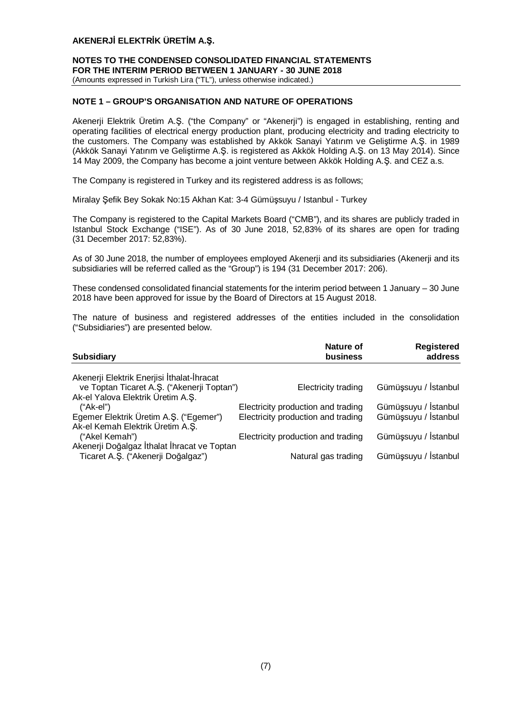## **NOTES TO THE CONDENSED CONSOLIDATED FINANCIAL STATEMENTS FOR THE INTERIM PERIOD BETWEEN 1 JANUARY - 30 JUNE 2018** (Amounts expressed in Turkish Lira ("TL"), unless otherwise indicated.)

# **NOTE 1 – GROUP'S ORGANISATION AND NATURE OF OPERATIONS**

Akenerji Elektrik Üretim A.Ş. ("the Company" or "Akenerji") is engaged in establishing, renting and operating facilities of electrical energy production plant, producing electricity and trading electricity to the customers. The Company was established by Akkök Sanayi Yatırım ve Geliştirme A.Ş. in 1989 (Akkök Sanayi Yatırım ve Geliştirme A.Ş. is registered as Akkök Holding A.Ş. on 13 May 2014). Since 14 May 2009, the Company has become a joint venture between Akkök Holding A.Ş. and CEZ a.s.

The Company is registered in Turkey and its registered address is as follows;

Miralay Şefik Bey Sokak No:15 Akhan Kat: 3-4 Gümüşsuyu / Istanbul - Turkey

The Company is registered to the Capital Markets Board ("CMB"), and its shares are publicly traded in Istanbul Stock Exchange ("ISE"). As of 30 June 2018, 52,83% of its shares are open for trading (31 December 2017: 52,83%).

As of 30 June 2018, the number of employees employed Akenerji and its subsidiaries (Akenerji and its subsidiaries will be referred called as the "Group") is 194 (31 December 2017: 206).

These condensed consolidated financial statements for the interim period between 1 January – 30 June 2018 have been approved for issue by the Board of Directors at 15 August 2018.

The nature of business and registered addresses of the entities included in the consolidation ("Subsidiaries") are presented below.

| <b>Subsidiary</b>                                                                                 | Nature of<br>business                                                    | <b>Registered</b><br>address                 |
|---------------------------------------------------------------------------------------------------|--------------------------------------------------------------------------|----------------------------------------------|
| Akenerji Elektrik Enerjisi İthalat-İhracat<br>ve Toptan Ticaret A.Ş. ("Akenerji Toptan")          | Electricity trading                                                      | Gümüşsuyu / İstanbul                         |
| Ak-el Yalova Elektrik Üretim A.Ş.<br>$("Ak-el")$<br>Egemer Elektrik Üretim A.Ş. ("Egemer")        | Electricity production and trading<br>Electricity production and trading | Gümüşsuyu / İstanbul<br>Gümüşsuyu / İstanbul |
| Ak-el Kemah Elektrik Üretim A.Ş.<br>("Akel Kemah")<br>Akenerji Doğalgaz İthalat İhracat ve Toptan | Electricity production and trading                                       | Gümüşsuyu / İstanbul                         |
| Ticaret A.Ş. ("Akenerji Doğalgaz")                                                                | Natural gas trading                                                      | Gümüşsuyu / İstanbul                         |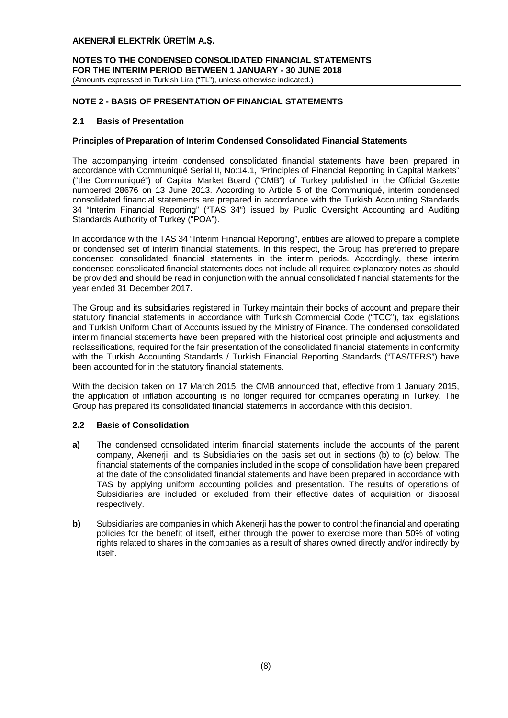**NOTES TO THE CONDENSED CONSOLIDATED FINANCIAL STATEMENTS FOR THE INTERIM PERIOD BETWEEN 1 JANUARY - 30 JUNE 2018** (Amounts expressed in Turkish Lira ("TL"), unless otherwise indicated.)

# **NOTE 2 - BASIS OF PRESENTATION OF FINANCIAL STATEMENTS**

## **2.1 Basis of Presentation**

## **Principles of Preparation of Interim Condensed Consolidated Financial Statements**

The accompanying interim condensed consolidated financial statements have been prepared in accordance with Communiqué Serial II, No:14.1, "Principles of Financial Reporting in Capital Markets" ("the Communiqué") of Capital Market Board ("CMB") of Turkey published in the Official Gazette numbered 28676 on 13 June 2013. According to Article 5 of the Communiqué, interim condensed consolidated financial statements are prepared in accordance with the Turkish Accounting Standards 34 "Interim Financial Reporting" ("TAS 34") issued by Public Oversight Accounting and Auditing Standards Authority of Turkey ("POA").

In accordance with the TAS 34 "Interim Financial Reporting", entities are allowed to prepare a complete or condensed set of interim financial statements. In this respect, the Group has preferred to prepare condensed consolidated financial statements in the interim periods. Accordingly, these interim condensed consolidated financial statements does not include all required explanatory notes as should be provided and should be read in conjunction with the annual consolidated financial statements for the year ended 31 December 2017.

The Group and its subsidiaries registered in Turkey maintain their books of account and prepare their statutory financial statements in accordance with Turkish Commercial Code ("TCC"), tax legislations and Turkish Uniform Chart of Accounts issued by the Ministry of Finance. The condensed consolidated interim financial statements have been prepared with the historical cost principle and adjustments and reclassifications, required for the fair presentation of the consolidated financial statements in conformity with the Turkish Accounting Standards / Turkish Financial Reporting Standards ("TAS/TFRS") have been accounted for in the statutory financial statements.

With the decision taken on 17 March 2015, the CMB announced that, effective from 1 January 2015, the application of inflation accounting is no longer required for companies operating in Turkey. The Group has prepared its consolidated financial statements in accordance with this decision.

# **2.2 Basis of Consolidation**

- **a)** The condensed consolidated interim financial statements include the accounts of the parent company, Akenerji, and its Subsidiaries on the basis set out in sections (b) to (c) below. The financial statements of the companies included in the scope of consolidation have been prepared at the date of the consolidated financial statements and have been prepared in accordance with TAS by applying uniform accounting policies and presentation. The results of operations of Subsidiaries are included or excluded from their effective dates of acquisition or disposal respectively.
- **b)** Subsidiaries are companies in which Akenerji has the power to control the financial and operating policies for the benefit of itself, either through the power to exercise more than 50% of voting rights related to shares in the companies as a result of shares owned directly and/or indirectly by itself.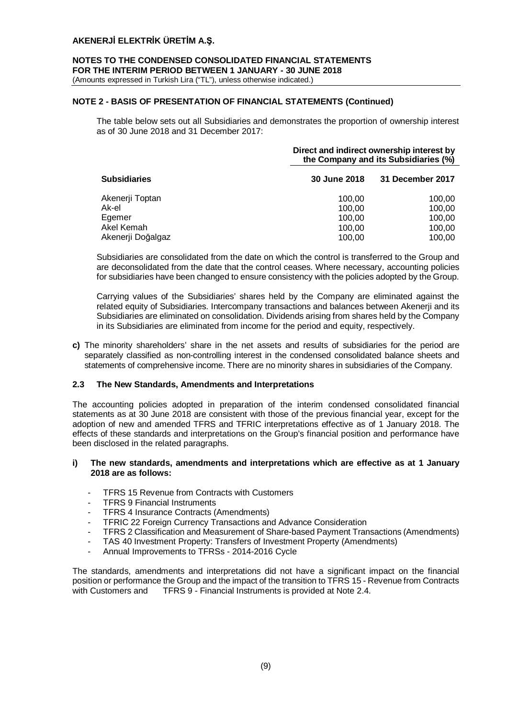# **NOTES TO THE CONDENSED CONSOLIDATED FINANCIAL STATEMENTS FOR THE INTERIM PERIOD BETWEEN 1 JANUARY - 30 JUNE 2018**

(Amounts expressed in Turkish Lira ("TL"), unless otherwise indicated.)

# **NOTE 2 - BASIS OF PRESENTATION OF FINANCIAL STATEMENTS (Continued)**

The table below sets out all Subsidiaries and demonstrates the proportion of ownership interest as of 30 June 2018 and 31 December 2017:

|                     | Direct and indirect ownership interest by<br>the Company and its Subsidiaries (%) |                  |  |  |
|---------------------|-----------------------------------------------------------------------------------|------------------|--|--|
| <b>Subsidiaries</b> | 30 June 2018                                                                      | 31 December 2017 |  |  |
| Akenerji Toptan     | 100.00                                                                            | 100,00           |  |  |
| Ak-el               | 100,00                                                                            | 100,00           |  |  |
| Egemer              | 100.00                                                                            | 100,00           |  |  |
| Akel Kemah          | 100,00                                                                            | 100,00           |  |  |
| Akenerji Doğalgaz   | 100.00                                                                            | 100.00           |  |  |

Subsidiaries are consolidated from the date on which the control is transferred to the Group and are deconsolidated from the date that the control ceases. Where necessary, accounting policies for subsidiaries have been changed to ensure consistency with the policies adopted by the Group.

Carrying values of the Subsidiaries' shares held by the Company are eliminated against the related equity of Subsidiaries. Intercompany transactions and balances between Akenerji and its Subsidiaries are eliminated on consolidation. Dividends arising from shares held by the Company in its Subsidiaries are eliminated from income for the period and equity, respectively.

**c)** The minority shareholders' share in the net assets and results of subsidiaries for the period are separately classified as non-controlling interest in the condensed consolidated balance sheets and statements of comprehensive income. There are no minority shares in subsidiaries of the Company.

## **2.3 The New Standards, Amendments and Interpretations**

The accounting policies adopted in preparation of the interim condensed consolidated financial statements as at 30 June 2018 are consistent with those of the previous financial year, except for the adoption of new and amended TFRS and TFRIC interpretations effective as of 1 January 2018. The effects of these standards and interpretations on the Group's financial position and performance have been disclosed in the related paragraphs.

## **i) The new standards, amendments and interpretations which are effective as at 1 January 2018 are as follows:**

- TFRS 15 Revenue from Contracts with Customers
- TFRS 9 Financial Instruments
- TFRS 4 Insurance Contracts (Amendments)
- TFRIC 22 Foreign Currency Transactions and Advance Consideration
- TFRS 2 Classification and Measurement of Share-based Payment Transactions (Amendments)
- TAS 40 Investment Property: Transfers of Investment Property (Amendments)
- Annual Improvements to TFRSs 2014-2016 Cycle

The standards, amendments and interpretations did not have a significant impact on the financial position or performance the Group and the impact of the transition to TFRS 15 - Revenue from Contracts with Customers and TFRS 9 - Financial Instruments is provided at Note 2.4.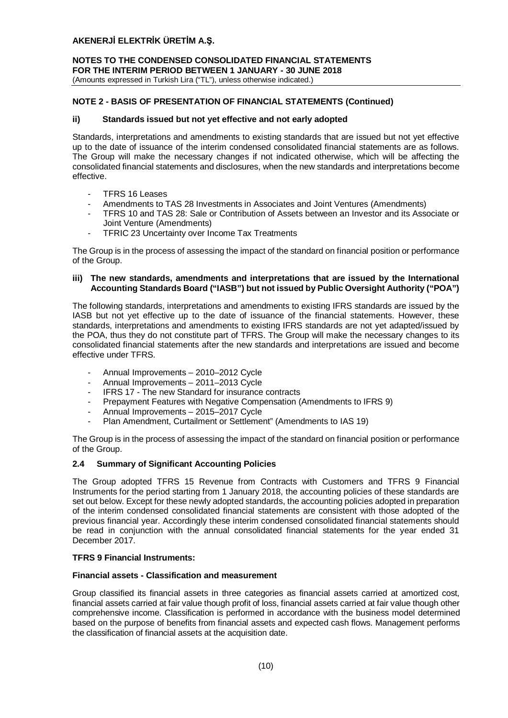**NOTES TO THE CONDENSED CONSOLIDATED FINANCIAL STATEMENTS FOR THE INTERIM PERIOD BETWEEN 1 JANUARY - 30 JUNE 2018** (Amounts expressed in Turkish Lira ("TL"), unless otherwise indicated.)

# **NOTE 2 - BASIS OF PRESENTATION OF FINANCIAL STATEMENTS (Continued)**

## **ii) Standards issued but not yet effective and not early adopted**

Standards, interpretations and amendments to existing standards that are issued but not yet effective up to the date of issuance of the interim condensed consolidated financial statements are as follows. The Group will make the necessary changes if not indicated otherwise, which will be affecting the consolidated financial statements and disclosures, when the new standards and interpretations become effective.

- TFRS 16 Leases
- Amendments to TAS 28 Investments in Associates and Joint Ventures (Amendments)
- TFRS 10 and TAS 28: Sale or Contribution of Assets between an Investor and its Associate or Joint Venture (Amendments)
- TFRIC 23 Uncertainty over Income Tax Treatments

The Group is in the process of assessing the impact of the standard on financial position or performance of the Group.

## **iii) The new standards, amendments and interpretations that are issued by the International Accounting Standards Board ("IASB") but not issued by Public Oversight Authority ("POA")**

The following standards, interpretations and amendments to existing IFRS standards are issued by the IASB but not yet effective up to the date of issuance of the financial statements. However, these standards, interpretations and amendments to existing IFRS standards are not yet adapted/issued by the POA, thus they do not constitute part of TFRS. The Group will make the necessary changes to its consolidated financial statements after the new standards and interpretations are issued and become effective under TFRS.

- Annual Improvements 2010–2012 Cycle
- Annual Improvements 2011–2013 Cycle
- IFRS 17 The new Standard for insurance contracts
- Prepayment Features with Negative Compensation (Amendments to IFRS 9)
- Annual Improvements 2015–2017 Cycle
- Plan Amendment, Curtailment or Settlement" (Amendments to IAS 19)

The Group is in the process of assessing the impact of the standard on financial position or performance of the Group.

## **2.4 Summary of Significant Accounting Policies**

The Group adopted TFRS 15 Revenue from Contracts with Customers and TFRS 9 Financial Instruments for the period starting from 1 January 2018, the accounting policies of these standards are set out below. Except for these newly adopted standards, the accounting policies adopted in preparation of the interim condensed consolidated financial statements are consistent with those adopted of the previous financial year. Accordingly these interim condensed consolidated financial statements should be read in conjunction with the annual consolidated financial statements for the year ended 31 December 2017.

## **TFRS 9 Financial Instruments:**

# **Financial assets - Classification and measurement**

Group classified its financial assets in three categories as financial assets carried at amortized cost, financial assets carried at fair value though profit of loss, financial assets carried at fair value though other comprehensive income. Classification is performed in accordance with the business model determined based on the purpose of benefits from financial assets and expected cash flows. Management performs the classification of financial assets at the acquisition date.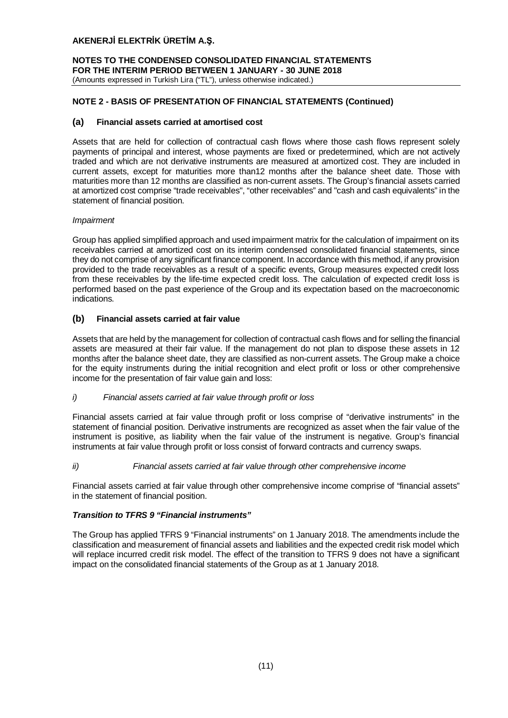**NOTES TO THE CONDENSED CONSOLIDATED FINANCIAL STATEMENTS FOR THE INTERIM PERIOD BETWEEN 1 JANUARY - 30 JUNE 2018** (Amounts expressed in Turkish Lira ("TL"), unless otherwise indicated.)

# **NOTE 2 - BASIS OF PRESENTATION OF FINANCIAL STATEMENTS (Continued)**

## **(a) Financial assets carried at amortised cost**

Assets that are held for collection of contractual cash flows where those cash flows represent solely payments of principal and interest, whose payments are fixed or predetermined, which are not actively traded and which are not derivative instruments are measured at amortized cost. They are included in current assets, except for maturities more than12 months after the balance sheet date. Those with maturities more than 12 months are classified as non-current assets. The Group's financial assets carried at amortized cost comprise "trade receivables", "other receivables" and "cash and cash equivalents" in the statement of financial position.

## *Impairment*

Group has applied simplified approach and used impairment matrix for the calculation of impairment on its receivables carried at amortized cost on its interim condensed consolidated financial statements, since they do not comprise of any significant finance component. In accordance with this method, if any provision provided to the trade receivables as a result of a specific events, Group measures expected credit loss from these receivables by the life-time expected credit loss. The calculation of expected credit loss is performed based on the past experience of the Group and its expectation based on the macroeconomic indications.

## **(b) Financial assets carried at fair value**

Assets that are held by the management for collection of contractual cash flows and for selling the financial assets are measured at their fair value. If the management do not plan to dispose these assets in 12 months after the balance sheet date, they are classified as non-current assets. The Group make a choice for the equity instruments during the initial recognition and elect profit or loss or other comprehensive income for the presentation of fair value gain and loss:

## *i) Financial assets carried at fair value through profit or loss*

Financial assets carried at fair value through profit or loss comprise of "derivative instruments" in the statement of financial position. Derivative instruments are recognized as asset when the fair value of the instrument is positive, as liability when the fair value of the instrument is negative. Group's financial instruments at fair value through profit or loss consist of forward contracts and currency swaps.

## *ii) Financial assets carried at fair value through other comprehensive income*

Financial assets carried at fair value through other comprehensive income comprise of "financial assets" in the statement of financial position.

## *Transition to TFRS 9 "Financial instruments"*

The Group has applied TFRS 9 "Financial instruments" on 1 January 2018. The amendments include the classification and measurement of financial assets and liabilities and the expected credit risk model which will replace incurred credit risk model. The effect of the transition to TFRS 9 does not have a significant impact on the consolidated financial statements of the Group as at 1 January 2018.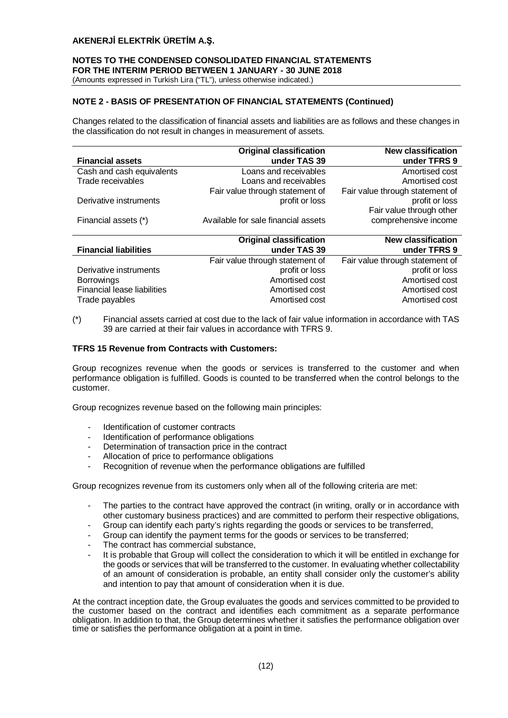# **NOTES TO THE CONDENSED CONSOLIDATED FINANCIAL STATEMENTS FOR THE INTERIM PERIOD BETWEEN 1 JANUARY - 30 JUNE 2018**

(Amounts expressed in Turkish Lira ("TL"), unless otherwise indicated.)

# **NOTE 2 - BASIS OF PRESENTATION OF FINANCIAL STATEMENTS (Continued)**

Changes related to the classification of financial assets and liabilities are as follows and these changes in the classification do not result in changes in measurement of assets.

|                           | <b>Original classification</b>      | <b>New classification</b>       |
|---------------------------|-------------------------------------|---------------------------------|
| <b>Financial assets</b>   | under TAS 39                        | under TFRS 9                    |
| Cash and cash equivalents | Loans and receivables               | Amortised cost                  |
| Trade receivables         | Loans and receivables               | Amortised cost                  |
|                           | Fair value through statement of     | Fair value through statement of |
| Derivative instruments    | profit or loss                      | profit or loss                  |
|                           |                                     | Fair value through other        |
| Financial assets (*)      | Available for sale financial assets | comprehensive income            |
|                           | Original algooification             | Now algooification              |

|                              | <b>Original classification</b>  | <b>New classification</b>       |
|------------------------------|---------------------------------|---------------------------------|
| <b>Financial liabilities</b> | under TAS 39                    | under TFRS 9                    |
|                              | Fair value through statement of | Fair value through statement of |
| Derivative instruments       | profit or loss                  | profit or loss                  |
| <b>Borrowings</b>            | Amortised cost                  | Amortised cost                  |
| Financial lease liabilities  | Amortised cost                  | Amortised cost                  |
| Trade payables               | Amortised cost                  | Amortised cost                  |

(\*) Financial assets carried at cost due to the lack of fair value information in accordance with TAS 39 are carried at their fair values in accordance with TFRS 9.

## **TFRS 15 Revenue from Contracts with Customers:**

Group recognizes revenue when the goods or services is transferred to the customer and when performance obligation is fulfilled. Goods is counted to be transferred when the control belongs to the customer.

Group recognizes revenue based on the following main principles:

- Identification of customer contracts
- Identification of performance obligations
- Determination of transaction price in the contract
- Allocation of price to performance obligations
- Recognition of revenue when the performance obligations are fulfilled

Group recognizes revenue from its customers only when all of the following criteria are met:

- The parties to the contract have approved the contract (in writing, orally or in accordance with other customary business practices) and are committed to perform their respective obligations,
- Group can identify each party's rights regarding the goods or services to be transferred,
- Group can identify the payment terms for the goods or services to be transferred;
- The contract has commercial substance,
- It is probable that Group will collect the consideration to which it will be entitled in exchange for the goods or services that will be transferred to the customer. In evaluating whether collectability of an amount of consideration is probable, an entity shall consider only the customer's ability and intention to pay that amount of consideration when it is due.

At the contract inception date, the Group evaluates the goods and services committed to be provided to the customer based on the contract and identifies each commitment as a separate performance obligation. In addition to that, the Group determines whether it satisfies the performance obligation over time or satisfies the performance obligation at a point in time.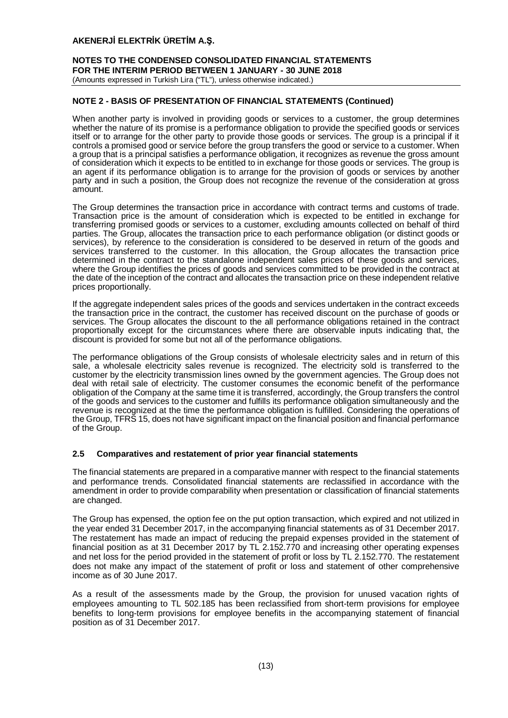## **NOTES TO THE CONDENSED CONSOLIDATED FINANCIAL STATEMENTS FOR THE INTERIM PERIOD BETWEEN 1 JANUARY - 30 JUNE 2018** (Amounts expressed in Turkish Lira ("TL"), unless otherwise indicated.)

# **NOTE 2 - BASIS OF PRESENTATION OF FINANCIAL STATEMENTS (Continued)**

When another party is involved in providing goods or services to a customer, the group determines whether the nature of its promise is a performance obligation to provide the specified goods or services itself or to arrange for the other party to provide those goods or services. The group is a principal if it controls a promised good or service before the group transfers the good or service to a customer. When a group that is a principal satisfies a performance obligation, it recognizes as revenue the gross amount of consideration which it expects to be entitled to in exchange for those goods or services. The group is an agent if its performance obligation is to arrange for the provision of goods or services by another party and in such a position, the Group does not recognize the revenue of the consideration at gross amount.

The Group determines the transaction price in accordance with contract terms and customs of trade. Transaction price is the amount of consideration which is expected to be entitled in exchange for transferring promised goods or services to a customer, excluding amounts collected on behalf of third parties. The Group, allocates the transaction price to each performance obligation (or distinct goods or services), by reference to the consideration is considered to be deserved in return of the goods and services transferred to the customer. In this allocation, the Group allocates the transaction price determined in the contract to the standalone independent sales prices of these goods and services, where the Group identifies the prices of goods and services committed to be provided in the contract at the date of the inception of the contract and allocates the transaction price on these independent relative prices proportionally.

If the aggregate independent sales prices of the goods and services undertaken in the contract exceeds the transaction price in the contract, the customer has received discount on the purchase of goods or services. The Group allocates the discount to the all performance obligations retained in the contract proportionally except for the circumstances where there are observable inputs indicating that, the discount is provided for some but not all of the performance obligations.

The performance obligations of the Group consists of wholesale electricity sales and in return of this sale, a wholesale electricity sales revenue is recognized. The electricity sold is transferred to the customer by the electricity transmission lines owned by the government agencies. The Group does not deal with retail sale of electricity. The customer consumes the economic benefit of the performance obligation of the Company at the same time it is transferred, accordingly, the Group transfers the control of the goods and services to the customer and fulfills its performance obligation simultaneously and the revenue is recognized at the time the performance obligation is fulfilled. Considering the operations of the Group, TFRS 15, does not have significant impact on the financial position and financial performance of the Group.

## **2.5 Comparatives and restatement of prior year financial statements**

The financial statements are prepared in a comparative manner with respect to the financial statements and performance trends. Consolidated financial statements are reclassified in accordance with the amendment in order to provide comparability when presentation or classification of financial statements are changed.

The Group has expensed, the option fee on the put option transaction, which expired and not utilized in the year ended 31 December 2017, in the accompanying financial statements as of 31 December 2017. The restatement has made an impact of reducing the prepaid expenses provided in the statement of financial position as at 31 December 2017 by TL 2.152.770 and increasing other operating expenses and net loss for the period provided in the statement of profit or loss by TL 2.152.770. The restatement does not make any impact of the statement of profit or loss and statement of other comprehensive income as of 30 June 2017.

As a result of the assessments made by the Group, the provision for unused vacation rights of employees amounting to TL 502.185 has been reclassified from short-term provisions for employee benefits to long-term provisions for employee benefits in the accompanying statement of financial position as of 31 December 2017.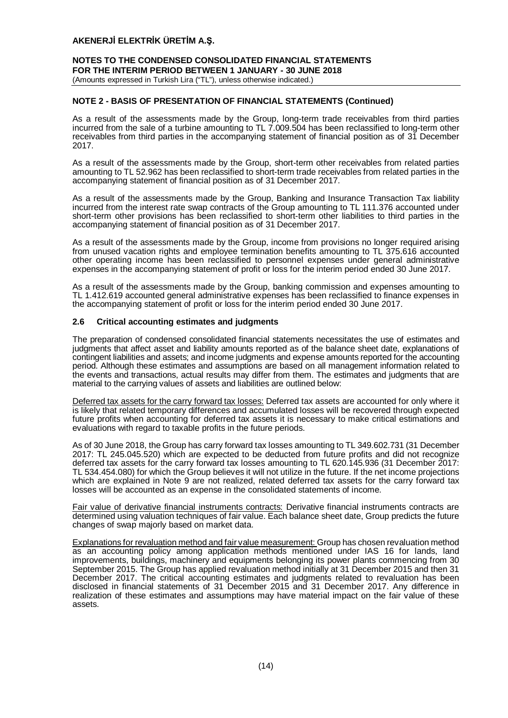## **NOTES TO THE CONDENSED CONSOLIDATED FINANCIAL STATEMENTS FOR THE INTERIM PERIOD BETWEEN 1 JANUARY - 30 JUNE 2018** (Amounts expressed in Turkish Lira ("TL"), unless otherwise indicated.)

# **NOTE 2 - BASIS OF PRESENTATION OF FINANCIAL STATEMENTS (Continued)**

As a result of the assessments made by the Group, long-term trade receivables from third parties incurred from the sale of a turbine amounting to TL 7.009.504 has been reclassified to long-term other receivables from third parties in the accompanying statement of financial position as of 31 December 2017.

As a result of the assessments made by the Group, short-term other receivables from related parties amounting to TL 52.962 has been reclassified to short-term trade receivables from related parties in the accompanying statement of financial position as of 31 December 2017.

As a result of the assessments made by the Group, Banking and Insurance Transaction Tax liability incurred from the interest rate swap contracts of the Group amounting to TL 111.376 accounted under short-term other provisions has been reclassified to short-term other liabilities to third parties in the accompanying statement of financial position as of 31 December 2017.

As a result of the assessments made by the Group, income from provisions no longer required arising from unused vacation rights and employee termination benefits amounting to TL 375.616 accounted other operating income has been reclassified to personnel expenses under general administrative expenses in the accompanying statement of profit or loss for the interim period ended 30 June 2017.

As a result of the assessments made by the Group, banking commission and expenses amounting to TL 1.412.619 accounted general administrative expenses has been reclassified to finance expenses in the accompanying statement of profit or loss for the interim period ended 30 June 2017.

## **2.6 Critical accounting estimates and judgments**

The preparation of condensed consolidated financial statements necessitates the use of estimates and judgments that affect asset and liability amounts reported as of the balance sheet date, explanations of contingent liabilities and assets; and income judgments and expense amounts reported for the accounting period. Although these estimates and assumptions are based on all management information related to the events and transactions, actual results may differ from them. The estimates and judgments that are material to the carrying values of assets and liabilities are outlined below:

Deferred tax assets for the carry forward tax losses: Deferred tax assets are accounted for only where it is likely that related temporary differences and accumulated losses will be recovered through expected future profits when accounting for deferred tax assets it is necessary to make critical estimations and evaluations with regard to taxable profits in the future periods.

As of 30 June 2018, the Group has carry forward tax losses amounting to TL 349.602.731 (31 December 2017: TL 245.045.520) which are expected to be deducted from future profits and did not recognize deferred tax assets for the carry forward tax losses amounting to TL 620.145.936 (31 December 2017: TL 534.454.080) for which the Group believes it will not utilize in the future. If the net income projections which are explained in Note 9 are not realized, related deferred tax assets for the carry forward tax losses will be accounted as an expense in the consolidated statements of income.

Fair value of derivative financial instruments contracts: Derivative financial instruments contracts are determined using valuation techniques of fair value. Each balance sheet date, Group predicts the future changes of swap majorly based on market data.

Explanations for revaluation method and fair value measurement: Group has chosen revaluation method as an accounting policy among application methods mentioned under IAS 16 for lands, land improvements, buildings, machinery and equipments belonging its power plants commencing from 30 September 2015. The Group has applied revaluation method initially at 31 December 2015 and then 31 December 2017. The critical accounting estimates and judgments related to revaluation has been disclosed in financial statements of 31 December 2015 and 31 December 2017. Any difference in realization of these estimates and assumptions may have material impact on the fair value of these assets.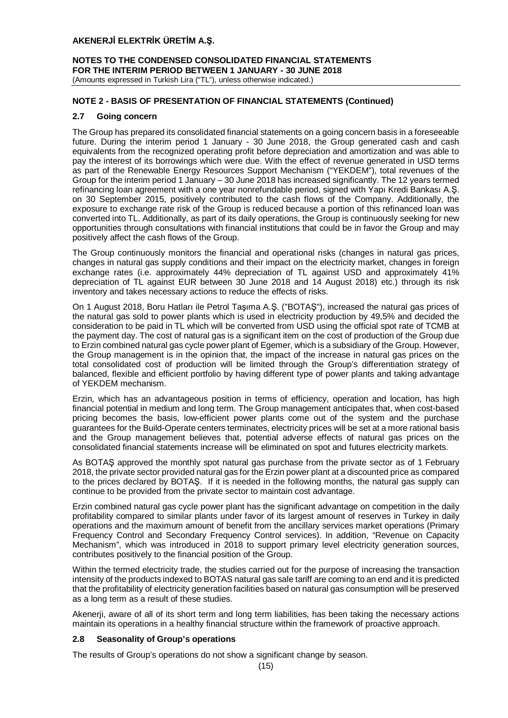## **NOTES TO THE CONDENSED CONSOLIDATED FINANCIAL STATEMENTS FOR THE INTERIM PERIOD BETWEEN 1 JANUARY - 30 JUNE 2018** (Amounts expressed in Turkish Lira ("TL"), unless otherwise indicated.)

# **NOTE 2 - BASIS OF PRESENTATION OF FINANCIAL STATEMENTS (Continued)**

# **2.7 Going concern**

The Group has prepared its consolidated financial statements on a going concern basis in a foreseeable future. During the interim period 1 January - 30 June 2018, the Group generated cash and cash equivalents from the recognized operating profit before depreciation and amortization and was able to pay the interest of its borrowings which were due. With the effect of revenue generated in USD terms as part of the Renewable Energy Resources Support Mechanism ("YEKDEM"), total revenues of the Group for the interim period 1 January – 30 June 2018 has increased significantly. The 12 years termed refinancing loan agreement with a one year nonrefundable period, signed with Yapı Kredi Bankası A.Ş. on 30 September 2015, positively contributed to the cash flows of the Company. Additionally, the exposure to exchange rate risk of the Group is reduced because a portion of this refinanced loan was converted into TL. Additionally, as part of its daily operations, the Group is continuously seeking for new opportunities through consultations with financial institutions that could be in favor the Group and may positively affect the cash flows of the Group.

The Group continuously monitors the financial and operational risks (changes in natural gas prices, changes in natural gas supply conditions and their impact on the electricity market, changes in foreign exchange rates (i.e. approximately 44% depreciation of TL against USD and approximately 41% depreciation of TL against EUR between 30 June 2018 and 14 August 2018) etc.) through its risk inventory and takes necessary actions to reduce the effects of risks.

On 1 August 2018, Boru Hatları ile Petrol Taşıma A.Ş. ("BOTAŞ"), increased the natural gas prices of the natural gas sold to power plants which is used in electricity production by 49,5% and decided the consideration to be paid in TL which will be converted from USD using the official spot rate of TCMB at the payment day. The cost of natural gas is a significant item on the cost of production of the Group due to Erzin combined natural gas cycle power plant of Egemer, which is a subsidiary of the Group. However, the Group management is in the opinion that, the impact of the increase in natural gas prices on the total consolidated cost of production will be limited through the Group's differentiation strategy of balanced, flexible and efficient portfolio by having different type of power plants and taking advantage of YEKDEM mechanism.

Erzin, which has an advantageous position in terms of efficiency, operation and location, has high financial potential in medium and long term. The Group management anticipates that, when cost-based pricing becomes the basis, low-efficient power plants come out of the system and the purchase guarantees for the Build-Operate centers terminates, electricity prices will be set at a more rational basis and the Group management believes that, potential adverse effects of natural gas prices on the consolidated financial statements increase will be eliminated on spot and futures electricity markets.

As BOTAŞ approved the monthly spot natural gas purchase from the private sector as of 1 February 2018, the private sector provided natural gas for the Erzin power plant at a discounted price as compared to the prices declared by BOTAŞ. If it is needed in the following months, the natural gas supply can continue to be provided from the private sector to maintain cost advantage.

Erzin combined natural gas cycle power plant has the significant advantage on competition in the daily profitability compared to similar plants under favor of its largest amount of reserves in Turkey in daily operations and the maximum amount of benefit from the ancillary services market operations (Primary Frequency Control and Secondary Frequency Control services). In addition, "Revenue on Capacity Mechanism", which was introduced in 2018 to support primary level electricity generation sources, contributes positively to the financial position of the Group.

Within the termed electricity trade, the studies carried out for the purpose of increasing the transaction intensity of the products indexed to BOTAS natural gas sale tariff are coming to an end and it is predicted that the profitability of electricity generation facilities based on natural gas consumption will be preserved as a long term as a result of these studies.

Akenerji, aware of all of its short term and long term liabilities, has been taking the necessary actions maintain its operations in a healthy financial structure within the framework of proactive approach.

## **2.8 Seasonality of Group's operations**

The results of Group's operations do not show a significant change by season.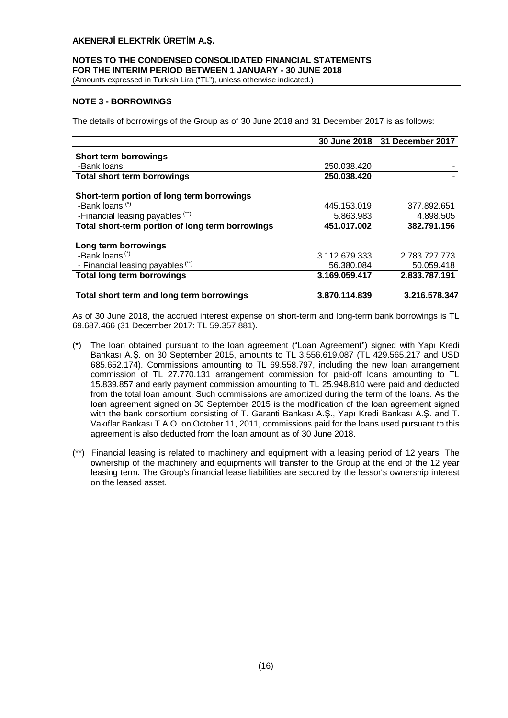# **NOTES TO THE CONDENSED CONSOLIDATED FINANCIAL STATEMENTS FOR THE INTERIM PERIOD BETWEEN 1 JANUARY - 30 JUNE 2018**

(Amounts expressed in Turkish Lira ("TL"), unless otherwise indicated.)

# **NOTE 3 - BORROWINGS**

The details of borrowings of the Group as of 30 June 2018 and 31 December 2017 is as follows:

|                                                  |               | 30 June 2018 31 December 2017 |
|--------------------------------------------------|---------------|-------------------------------|
| <b>Short term borrowings</b>                     |               |                               |
| -Bank loans                                      | 250.038.420   |                               |
| <b>Total short term borrowings</b>               | 250.038.420   |                               |
| Short-term portion of long term borrowings       |               |                               |
| -Bank loans (*)                                  | 445.153.019   | 377.892.651                   |
| -Financial leasing payables (**)                 | 5.863.983     | 4.898.505                     |
| Total short-term portion of long term borrowings | 451.017.002   | 382.791.156                   |
| Long term borrowings                             |               |                               |
| -Bank loans <sup>(*)</sup>                       | 3.112.679.333 | 2.783.727.773                 |
| - Financial leasing payables (**)                | 56.380.084    | 50.059.418                    |
| <b>Total long term borrowings</b>                | 3.169.059.417 | 2.833.787.191                 |
| Total short term and long term borrowings        | 3.870.114.839 | 3.216.578.347                 |

As of 30 June 2018, the accrued interest expense on short-term and long-term bank borrowings is TL 69.687.466 (31 December 2017: TL 59.357.881).

- (\*) The loan obtained pursuant to the loan agreement ("Loan Agreement") signed with Yapı Kredi Bankası A.Ş. on 30 September 2015, amounts to TL 3.556.619.087 (TL 429.565.217 and USD 685.652.174). Commissions amounting to TL 69.558.797, including the new loan arrangement commission of TL 27.770.131 arrangement commission for paid-off loans amounting to TL 15.839.857 and early payment commission amounting to TL 25.948.810 were paid and deducted from the total loan amount. Such commissions are amortized during the term of the loans. As the loan agreement signed on 30 September 2015 is the modification of the loan agreement signed with the bank consortium consisting of T. Garanti Bankası A.Ş., Yapı Kredi Bankası A.Ş. and T. Vakıflar Bankası T.A.O. on October 11, 2011, commissions paid for the loans used pursuant to this agreement is also deducted from the loan amount as of 30 June 2018.
- (\*\*) Financial leasing is related to machinery and equipment with a leasing period of 12 years. The ownership of the machinery and equipments will transfer to the Group at the end of the 12 year leasing term. The Group's financial lease liabilities are secured by the lessor's ownership interest on the leased asset.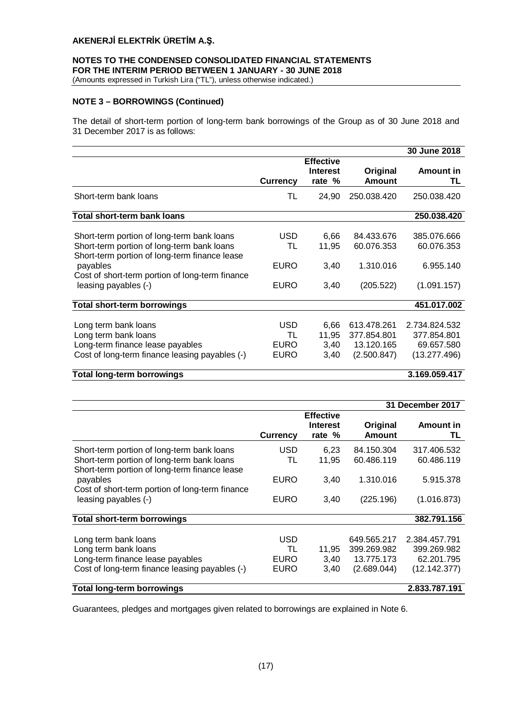# **NOTES TO THE CONDENSED CONSOLIDATED FINANCIAL STATEMENTS FOR THE INTERIM PERIOD BETWEEN 1 JANUARY - 30 JUNE 2018**

(Amounts expressed in Turkish Lira ("TL"), unless otherwise indicated.)

## **NOTE 3 – BORROWINGS (Continued)**

The detail of short-term portion of long-term bank borrowings of the Group as of 30 June 2018 and 31 December 2017 is as follows:

|                                                                                                                                                                                                                                  |                                                |                                               |                                                         | 30 June 2018                                               |
|----------------------------------------------------------------------------------------------------------------------------------------------------------------------------------------------------------------------------------|------------------------------------------------|-----------------------------------------------|---------------------------------------------------------|------------------------------------------------------------|
|                                                                                                                                                                                                                                  | <b>Currency</b>                                | <b>Effective</b><br><b>Interest</b><br>rate % | Original<br><b>Amount</b>                               | <b>Amount in</b><br>TL                                     |
| Short-term bank loans                                                                                                                                                                                                            | TL                                             | 24,90                                         | 250.038.420                                             | 250.038.420                                                |
| Total short-term bank loans                                                                                                                                                                                                      |                                                |                                               |                                                         | 250.038.420                                                |
| Short-term portion of long-term bank loans<br>Short-term portion of long-term bank loans<br>Short-term portion of long-term finance lease<br>payables<br>Cost of short-term portion of long-term finance<br>leasing payables (-) | <b>USD</b><br>TL<br><b>EURO</b><br><b>EURO</b> | 6,66<br>11,95<br>3,40<br>3,40                 | 84.433.676<br>60.076.353<br>1.310.016<br>(205.522)      | 385.076.666<br>60.076.353<br>6.955.140<br>(1.091.157)      |
| <b>Total short-term borrowings</b>                                                                                                                                                                                               |                                                |                                               |                                                         | 451.017.002                                                |
| Long term bank loans<br>Long term bank loans<br>Long-term finance lease payables<br>Cost of long-term finance leasing payables (-)                                                                                               | <b>USD</b><br>TL<br><b>EURO</b><br><b>EURO</b> | 6,66<br>11,95<br>3,40<br>3,40                 | 613.478.261<br>377.854.801<br>13.120.165<br>(2.500.847) | 2.734.824.532<br>377.854.801<br>69.657.580<br>(13.277.496) |

# **Total long-term borrowings 3.169.059.417**

|                                                                                                                                           |                                         |                                               |                                                         | 31 December 2017                                           |
|-------------------------------------------------------------------------------------------------------------------------------------------|-----------------------------------------|-----------------------------------------------|---------------------------------------------------------|------------------------------------------------------------|
|                                                                                                                                           | <b>Currency</b>                         | <b>Effective</b><br><b>Interest</b><br>rate % | Original<br><b>Amount</b>                               | Amount in<br>TL                                            |
| Short-term portion of long-term bank loans<br>Short-term portion of long-term bank loans<br>Short-term portion of long-term finance lease | <b>USD</b><br>TL                        | 6.23<br>11,95                                 | 84.150.304<br>60.486.119                                | 317.406.532<br>60.486.119                                  |
| payables<br>Cost of short-term portion of long-term finance<br>leasing payables (-)                                                       | <b>EURO</b>                             | 3,40                                          | 1.310.016                                               | 5.915.378                                                  |
|                                                                                                                                           | <b>EURO</b>                             | 3,40                                          | (225.196)                                               | (1.016.873)                                                |
| <b>Total short-term borrowings</b>                                                                                                        |                                         |                                               |                                                         | 382.791.156                                                |
| Long term bank loans<br>Long term bank loans<br>Long-term finance lease payables<br>Cost of long-term finance leasing payables (-)        | <b>USD</b><br>TL<br><b>EURO</b><br>EURO | 11.95<br>3,40<br>3,40                         | 649.565.217<br>399.269.982<br>13.775.173<br>(2.689.044) | 2.384.457.791<br>399.269.982<br>62.201.795<br>(12.142.377) |
| <b>Total long-term borrowings</b>                                                                                                         |                                         |                                               |                                                         | 2.833.787.191                                              |

Guarantees, pledges and mortgages given related to borrowings are explained in Note 6.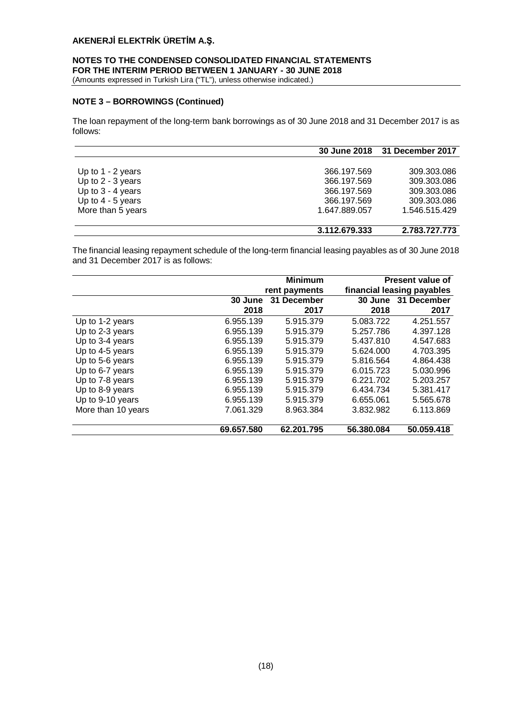# **NOTES TO THE CONDENSED CONSOLIDATED FINANCIAL STATEMENTS FOR THE INTERIM PERIOD BETWEEN 1 JANUARY - 30 JUNE 2018**

(Amounts expressed in Turkish Lira ("TL"), unless otherwise indicated.)

# **NOTE 3 – BORROWINGS (Continued)**

The loan repayment of the long-term bank borrowings as of 30 June 2018 and 31 December 2017 is as follows:

|                     |               | 30 June 2018 31 December 2017 |
|---------------------|---------------|-------------------------------|
|                     |               |                               |
| Up to $1 - 2$ years | 366.197.569   | 309.303.086                   |
| Up to $2 - 3$ years | 366.197.569   | 309.303.086                   |
| Up to $3 - 4$ years | 366.197.569   | 309.303.086                   |
| Up to $4 - 5$ years | 366.197.569   | 309.303.086                   |
| More than 5 years   | 1.647.889.057 | 1.546.515.429                 |
|                     | 3.112.679.333 | 2.783.727.773                 |

The financial leasing repayment schedule of the long-term financial leasing payables as of 30 June 2018 and 31 December 2017 is as follows:

|                    |            | <b>Minimum</b> |            | Present value of<br>financial leasing payables |  |  |
|--------------------|------------|----------------|------------|------------------------------------------------|--|--|
|                    |            | rent payments  |            |                                                |  |  |
|                    | 30 June    | 31 December    | 30 June    | 31 December                                    |  |  |
|                    | 2018       | 2017           | 2018       | 2017                                           |  |  |
| Up to 1-2 years    | 6.955.139  | 5.915.379      | 5.083.722  | 4.251.557                                      |  |  |
| Up to 2-3 years    | 6.955.139  | 5.915.379      | 5.257.786  | 4.397.128                                      |  |  |
| Up to 3-4 years    | 6.955.139  | 5.915.379      | 5.437.810  | 4.547.683                                      |  |  |
| Up to 4-5 years    | 6.955.139  | 5.915.379      | 5.624.000  | 4.703.395                                      |  |  |
| Up to 5-6 years    | 6.955.139  | 5.915.379      | 5.816.564  | 4.864.438                                      |  |  |
| Up to 6-7 years    | 6.955.139  | 5.915.379      | 6.015.723  | 5.030.996                                      |  |  |
| Up to 7-8 years    | 6.955.139  | 5.915.379      | 6.221.702  | 5.203.257                                      |  |  |
| Up to 8-9 years    | 6.955.139  | 5.915.379      | 6.434.734  | 5.381.417                                      |  |  |
| Up to 9-10 years   | 6.955.139  | 5.915.379      | 6.655.061  | 5.565.678                                      |  |  |
| More than 10 years | 7.061.329  | 8.963.384      | 3.832.982  | 6.113.869                                      |  |  |
|                    | 69.657.580 | 62.201.795     | 56.380.084 | 50.059.418                                     |  |  |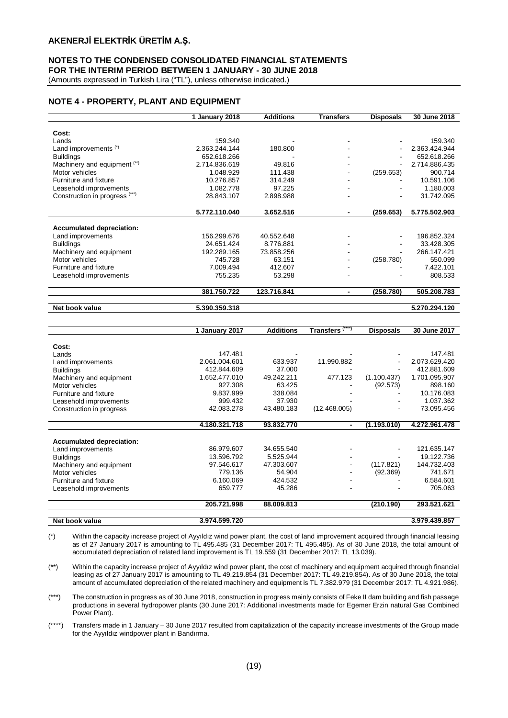## **NOTES TO THE CONDENSED CONSOLIDATED FINANCIAL STATEMENTS FOR THE INTERIM PERIOD BETWEEN 1 JANUARY - 30 JUNE 2018**

(Amounts expressed in Turkish Lira ("TL"), unless otherwise indicated.)

# **NOTE 4 - PROPERTY, PLANT AND EQUIPMENT**

|                                  | 1 January 2018 | <b>Additions</b> | <b>Transfers</b> | Disposals                | 30 June 2018  |
|----------------------------------|----------------|------------------|------------------|--------------------------|---------------|
|                                  |                |                  |                  |                          |               |
| Cost:                            |                |                  |                  |                          |               |
| Lands                            | 159.340        |                  |                  |                          | 159.340       |
| Land improvements (*)            | 2.363.244.144  | 180.800          |                  |                          | 2.363.424.944 |
| <b>Buildings</b>                 | 652.618.266    |                  |                  |                          | 652.618.266   |
| Machinery and equipment (**)     | 2.714.836.619  | 49.816           |                  |                          | 2.714.886.435 |
| Motor vehicles                   | 1.048.929      | 111.438          |                  | (259.653)                | 900.714       |
| Furniture and fixture            | 10.276.857     | 314.249          |                  |                          | 10.591.106    |
| Leasehold improvements           | 1.082.778      | 97.225           |                  |                          | 1.180.003     |
| Construction in progress (***)   | 28.843.107     | 2.898.988        |                  | $\overline{\phantom{0}}$ | 31.742.095    |
|                                  |                |                  |                  |                          |               |
|                                  | 5.772.110.040  | 3.652.516        |                  | (259.653)                | 5.775.502.903 |
|                                  |                |                  |                  |                          |               |
| <b>Accumulated depreciation:</b> |                |                  |                  |                          |               |
| Land improvements                | 156.299.676    | 40.552.648       |                  | ٠                        | 196.852.324   |
| <b>Buildings</b>                 | 24.651.424     | 8.776.881        |                  |                          | 33.428.305    |
| Machinery and equipment          | 192.289.165    | 73.858.256       |                  |                          | 266.147.421   |
| Motor vehicles                   | 745.728        | 63.151           |                  | (258.780)                | 550.099       |
| Furniture and fixture            | 7.009.494      | 412.607          | -                |                          | 7.422.101     |
| Leasehold improvements           | 755.235        | 53.298           |                  |                          | 808.533       |
|                                  | 381.750.722    | 123.716.841      |                  | (258.780)                | 505.208.783   |
| Net book value                   | 5.390.359.318  |                  |                  |                          | 5.270.294.120 |

|                                  | 1 January 2017 | <b>Additions</b> | Transfers <sup>(***)</sup> | <b>Disposals</b> | 30 June 2017  |
|----------------------------------|----------------|------------------|----------------------------|------------------|---------------|
|                                  |                |                  |                            |                  |               |
| Cost:                            |                |                  |                            |                  |               |
| Lands                            | 147.481        |                  |                            |                  | 147.481       |
| Land improvements                | 2.061.004.601  | 633.937          | 11.990.882                 |                  | 2.073.629.420 |
| <b>Buildings</b>                 | 412.844.609    | 37.000           |                            |                  | 412.881.609   |
| Machinery and equipment          | 1.652.477.010  | 49.242.211       | 477.123                    | (1.100.437)      | 1.701.095.907 |
| Motor vehicles                   | 927.308        | 63.425           |                            | (92.573)         | 898.160       |
| Furniture and fixture            | 9.837.999      | 338.084          |                            |                  | 10.176.083    |
| Leasehold improvements           | 999.432        | 37.930           |                            |                  | 1.037.362     |
| Construction in progress         | 42.083.278     | 43.480.183       | (12.468.005)               |                  | 73.095.456    |
|                                  |                |                  |                            |                  |               |
|                                  | 4.180.321.718  | 93.832.770       | $\blacksquare$             | (1.193.010)      | 4.272.961.478 |
|                                  |                |                  |                            |                  |               |
| <b>Accumulated depreciation:</b> |                |                  |                            |                  |               |
| Land improvements                | 86.979.607     | 34.655.540       |                            |                  | 121.635.147   |
| <b>Buildings</b>                 | 13.596.792     | 5.525.944        |                            |                  | 19.122.736    |
| Machinery and equipment          | 97.546.617     | 47.303.607       |                            | (117.821)        | 144.732.403   |
| Motor vehicles                   | 779.136        | 54.904           |                            | (92.369)         | 741.671       |
| Furniture and fixture            | 6.160.069      | 424.532          |                            |                  | 6.584.601     |
| Leasehold improvements           | 659.777        | 45.286           |                            |                  | 705.063       |
|                                  | 205.721.998    | 88.009.813       |                            | (210.190)        | 293.521.621   |
| Net book value                   | 3.974.599.720  |                  |                            |                  | 3.979.439.857 |

(\*) Within the capacity increase project of Ayyıldız wind power plant, the cost of land improvement acquired through financial leasing as of 27 January 2017 is amounting to TL 495.485 (31 December 2017: TL 495.485). As of 30 June 2018, the total amount of accumulated depreciation of related land improvement is TL 19.559 (31 December 2017: TL 13.039).

(\*\*) Within the capacity increase project of Ayyıldız wind power plant, the cost of machinery and equipment acquired through financial leasing as of 27 January 2017 is amounting to TL 49.219.854 (31 December 2017: TL 49.219.854). As of 30 June 2018, the total amount of accumulated depreciation of the related machinery and equipment is TL 7.382.979 (31 December 2017: TL 4.921.986).

(\*\*\*) The construction in progress as of 30 June 2018, construction in progress mainly consists of Feke II dam building and fish passage productions in several hydropower plants (30 June 2017: Additional investments made for Egemer Erzin natural Gas Combined Power Plant).

(\*\*\*\*) Transfers made in 1 January – 30 June 2017 resulted from capitalization of the capacity increase investments of the Group made for the Ayyıldız windpower plant in Bandırma.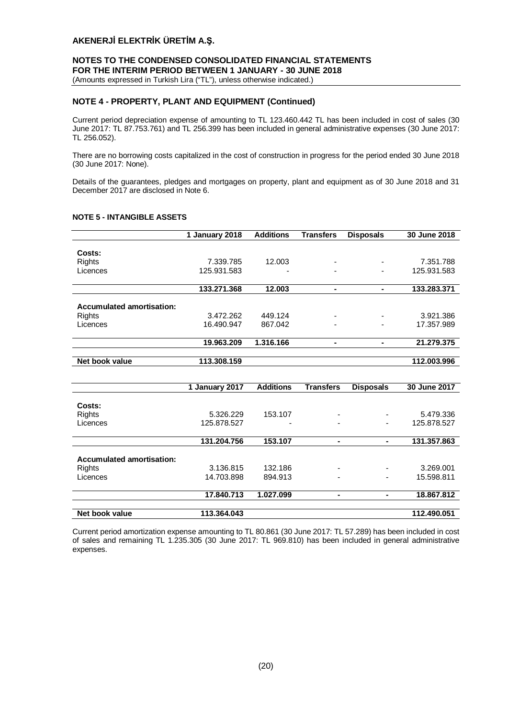# **NOTES TO THE CONDENSED CONSOLIDATED FINANCIAL STATEMENTS FOR THE INTERIM PERIOD BETWEEN 1 JANUARY - 30 JUNE 2018**

(Amounts expressed in Turkish Lira ("TL"), unless otherwise indicated.)

## **NOTE 4 - PROPERTY, PLANT AND EQUIPMENT (Continued)**

Current period depreciation expense of amounting to TL 123.460.442 TL has been included in cost of sales (30 June 2017: TL 87.753.761) and TL 256.399 has been included in general administrative expenses (30 June 2017: TL 256.052).

There are no borrowing costs capitalized in the cost of construction in progress for the period ended 30 June 2018 (30 June 2017: None).

Details of the guarantees, pledges and mortgages on property, plant and equipment as of 30 June 2018 and 31 December 2017 are disclosed in Note 6.

|                                  | 1 January 2018 | <b>Additions</b> | <b>Transfers</b> | <b>Disposals</b> | 30 June 2018 |
|----------------------------------|----------------|------------------|------------------|------------------|--------------|
|                                  |                |                  |                  |                  |              |
| Costs:                           |                |                  |                  |                  |              |
| <b>Rights</b>                    | 7.339.785      | 12.003           |                  |                  | 7.351.788    |
| Licences                         | 125.931.583    |                  |                  |                  | 125.931.583  |
|                                  |                |                  |                  |                  |              |
|                                  | 133.271.368    | 12.003           | ۰.               | ۰.               | 133,283,371  |
|                                  |                |                  |                  |                  |              |
| <b>Accumulated amortisation:</b> |                |                  |                  |                  |              |
| Rights                           | 3.472.262      | 449.124          |                  |                  | 3.921.386    |
| Licences                         | 16.490.947     | 867.042          |                  |                  | 17.357.989   |
|                                  |                |                  |                  |                  |              |
|                                  | 19.963.209     | 1.316.166        | ۰                | ۰                | 21.279.375   |
|                                  |                |                  |                  |                  |              |
| Net book value                   | 113.308.159    |                  |                  |                  | 112.003.996  |
|                                  |                |                  |                  |                  |              |
|                                  | 1 January 2017 | <b>Additions</b> | <b>Transfers</b> | <b>Disposals</b> | 30 June 2017 |
|                                  |                |                  |                  |                  |              |
| Costs:                           |                |                  |                  |                  |              |
| <b>Rights</b>                    | 5.326.229      | 153.107          |                  |                  | 5.479.336    |
| Licences                         | 125.878.527    |                  |                  |                  | 125.878.527  |
|                                  |                |                  |                  |                  |              |
|                                  | 131.204.756    | 153.107          | $\blacksquare$   | ۰.               | 131.357.863  |
|                                  |                |                  |                  |                  |              |
| <b>Accumulated amortisation:</b> |                |                  |                  |                  |              |
| <b>Rights</b>                    | 3.136.815      | 132.186          |                  |                  | 3.269.001    |
| Licences                         | 14.703.898     | 894.913          |                  |                  | 15.598.811   |
|                                  |                |                  |                  |                  |              |
|                                  | 17.840.713     | 1.027.099        | -                | ٠                | 18.867.812   |
| Net book value                   | 113.364.043    |                  |                  |                  |              |
|                                  |                |                  |                  |                  | 112.490.051  |

#### **NOTE 5 - INTANGIBLE ASSETS**

Current period amortization expense amounting to TL 80.861 (30 June 2017: TL 57.289) has been included in cost of sales and remaining TL 1.235.305 (30 June 2017: TL 969.810) has been included in general administrative expenses.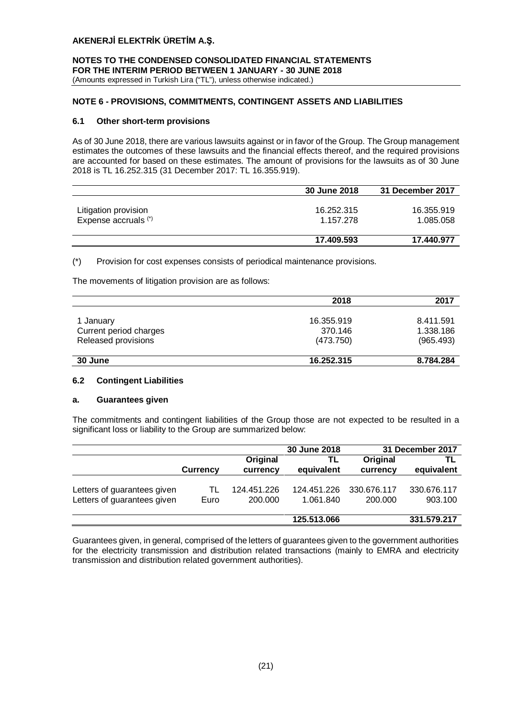**NOTES TO THE CONDENSED CONSOLIDATED FINANCIAL STATEMENTS FOR THE INTERIM PERIOD BETWEEN 1 JANUARY - 30 JUNE 2018** (Amounts expressed in Turkish Lira ("TL"), unless otherwise indicated.)

# **NOTE 6 - PROVISIONS, COMMITMENTS, CONTINGENT ASSETS AND LIABILITIES**

## **6.1 Other short-term provisions**

As of 30 June 2018, there are various lawsuits against or in favor of the Group. The Group management estimates the outcomes of these lawsuits and the financial effects thereof, and the required provisions are accounted for based on these estimates. The amount of provisions for the lawsuits as of 30 June 2018 is TL 16.252.315 (31 December 2017: TL 16.355.919).

|                      | 30 June 2018 | 31 December 2017 |
|----------------------|--------------|------------------|
|                      |              |                  |
| Litigation provision | 16.252.315   | 16.355.919       |
| Expense accruals (*) | 1.157.278    | 1.085.058        |
|                      |              |                  |
|                      | 17.409.593   | 17.440.977       |

(\*) Provision for cost expenses consists of periodical maintenance provisions.

The movements of litigation provision are as follows:

|                        | 2018       | 2017      |
|------------------------|------------|-----------|
|                        |            |           |
| 1 January              | 16.355.919 | 8.411.591 |
| Current period charges | 370.146    | 1.338.186 |
| Released provisions    | (473.750)  | (965.493) |
| 30 June                | 16.252.315 | 8.784.284 |

## **6.2 Contingent Liabilities**

## **a. Guarantees given**

The commitments and contingent liabilities of the Group those are not expected to be resulted in a significant loss or liability to the Group are summarized below:

|                                                            |                 |                        | 30 June 2018             |                        | 31 December 2017       |
|------------------------------------------------------------|-----------------|------------------------|--------------------------|------------------------|------------------------|
|                                                            | <b>Currency</b> | Original<br>currency   | TL<br>equivalent         | Original<br>currency   | TL<br>equivalent       |
| Letters of guarantees given<br>Letters of guarantees given | TL<br>Euro      | 124.451.226<br>200.000 | 124.451.226<br>1.061.840 | 330.676.117<br>200.000 | 330.676.117<br>903.100 |
|                                                            |                 |                        | 125.513.066              |                        | 331.579.217            |

Guarantees given, in general, comprised of the letters of guarantees given to the government authorities for the electricity transmission and distribution related transactions (mainly to EMRA and electricity transmission and distribution related government authorities).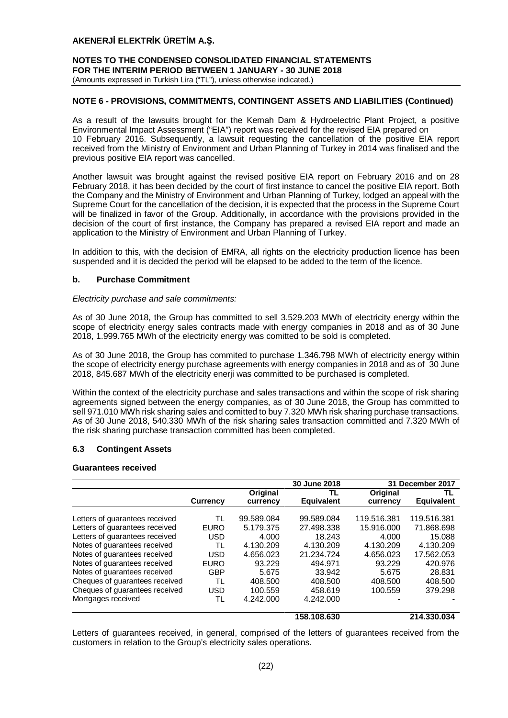## **NOTES TO THE CONDENSED CONSOLIDATED FINANCIAL STATEMENTS FOR THE INTERIM PERIOD BETWEEN 1 JANUARY - 30 JUNE 2018** (Amounts expressed in Turkish Lira ("TL"), unless otherwise indicated.)

## **NOTE 6 - PROVISIONS, COMMITMENTS, CONTINGENT ASSETS AND LIABILITIES (Continued)**

As a result of the lawsuits brought for the Kemah Dam & Hydroelectric Plant Project, a positive Environmental Impact Assessment ("EIA") report was received for the revised EIA prepared on 10 February 2016. Subsequently, a lawsuit requesting the cancellation of the positive EIA report received from the Ministry of Environment and Urban Planning of Turkey in 2014 was finalised and the previous positive EIA report was cancelled.

Another lawsuit was brought against the revised positive EIA report on February 2016 and on 28 February 2018, it has been decided by the court of first instance to cancel the positive EIA report. Both the Company and the Ministry of Environment and Urban Planning of Turkey, lodged an appeal with the Supreme Court for the cancellation of the decision, it is expected that the process in the Supreme Court will be finalized in favor of the Group. Additionally, in accordance with the provisions provided in the decision of the court of first instance, the Company has prepared a revised EIA report and made an application to the Ministry of Environment and Urban Planning of Turkey.

In addition to this, with the decision of EMRA, all rights on the electricity production licence has been suspended and it is decided the period will be elapsed to be added to the term of the licence.

## **b. Purchase Commitment**

## *Electricity purchase and sale commitments:*

As of 30 June 2018, the Group has committed to sell 3.529.203 MWh of electricity energy within the scope of electricity energy sales contracts made with energy companies in 2018 and as of 30 June 2018, 1.999.765 MWh of the electricity energy was comitted to be sold is completed.

As of 30 June 2018, the Group has commited to purchase 1.346.798 MWh of electricity energy within the scope of electricity energy purchase agreements with energy companies in 2018 and as of 30 June 2018, 845.687 MWh of the electricity enerji was committed to be purchased is completed.

Within the context of the electricity purchase and sales transactions and within the scope of risk sharing agreements signed between the energy companies, as of 30 June 2018, the Group has committed to sell 971.010 MWh risk sharing sales and comitted to buy 7.320 MWh risk sharing purchase transactions. As of 30 June 2018, 540.330 MWh of the risk sharing sales transaction committed and 7.320 MWh of the risk sharing purchase transaction committed has been completed.

## **6.3 Contingent Assets**

# **Guarantees received**

|                                |                 |            | 30 June 2018      |             | 31 December 2017  |
|--------------------------------|-----------------|------------|-------------------|-------------|-------------------|
|                                |                 | Original   | TL                | Original    | TL                |
|                                | <b>Currency</b> | currency   | <b>Equivalent</b> | currency    | <b>Equivalent</b> |
|                                |                 |            |                   |             |                   |
| Letters of guarantees received | TL              | 99.589.084 | 99.589.084        | 119.516.381 | 119.516.381       |
| Letters of quarantees received | <b>EURO</b>     | 5.179.375  | 27.498.338        | 15.916.000  | 71.868.698        |
| Letters of guarantees received | USD             | 4.000      | 18.243            | 4.000       | 15.088            |
| Notes of guarantees received   | TL              | 4.130.209  | 4.130.209         | 4.130.209   | 4.130.209         |
| Notes of guarantees received   | USD             | 4.656.023  | 21.234.724        | 4.656.023   | 17.562.053        |
| Notes of guarantees received   | <b>EURO</b>     | 93.229     | 494.971           | 93.229      | 420.976           |
| Notes of guarantees received   | GBP             | 5.675      | 33.942            | 5.675       | 28.831            |
| Cheques of guarantees received | TL              | 408.500    | 408.500           | 408.500     | 408.500           |
| Cheques of guarantees received | USD             | 100.559    | 458.619           | 100.559     | 379.298           |
| Mortgages received             | TL              | 4.242.000  | 4.242.000         |             |                   |
|                                |                 |            | 158.108.630       |             | 214.330.034       |

Letters of guarantees received, in general, comprised of the letters of guarantees received from the customers in relation to the Group's electricity sales operations.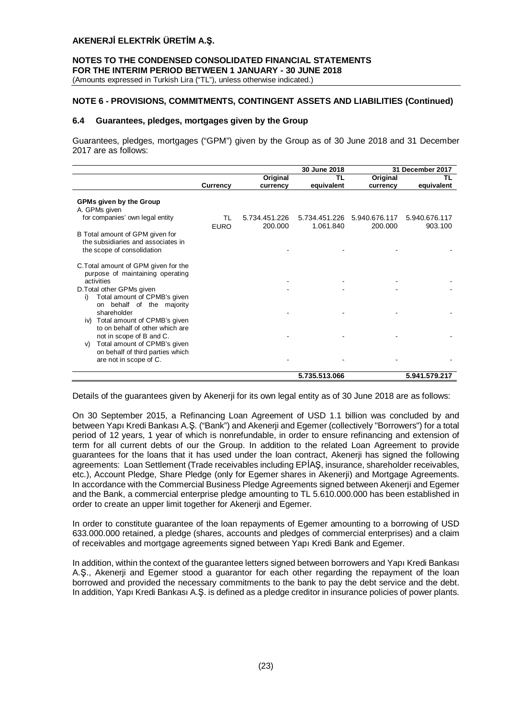**NOTES TO THE CONDENSED CONSOLIDATED FINANCIAL STATEMENTS FOR THE INTERIM PERIOD BETWEEN 1 JANUARY - 30 JUNE 2018** (Amounts expressed in Turkish Lira ("TL"), unless otherwise indicated.)

# **NOTE 6 - PROVISIONS, COMMITMENTS, CONTINGENT ASSETS AND LIABILITIES (Continued)**

## **6.4 Guarantees, pledges, mortgages given by the Group**

Guarantees, pledges, mortgages ("GPM") given by the Group as of 30 June 2018 and 31 December 2017 are as follows:

|                                                                                                                    |                   |                          | 30 June 2018               |                          | 31 December 2017         |
|--------------------------------------------------------------------------------------------------------------------|-------------------|--------------------------|----------------------------|--------------------------|--------------------------|
|                                                                                                                    |                   | Original                 | TL                         | Original                 | TL                       |
|                                                                                                                    | Currency          | currency                 | equivalent                 | currency                 | equivalent               |
| <b>GPMs given by the Group</b><br>A. GPMs given                                                                    |                   |                          |                            |                          |                          |
| for companies' own legal entity                                                                                    | TL<br><b>EURO</b> | 5.734.451.226<br>200.000 | 5.734.451.226<br>1.061.840 | 5.940.676.117<br>200.000 | 5.940.676.117<br>903.100 |
| B Total amount of GPM given for<br>the subsidiaries and associates in<br>the scope of consolidation                |                   |                          |                            |                          |                          |
| C. Total amount of GPM given for the<br>purpose of maintaining operating<br>activities                             |                   |                          |                            |                          |                          |
| D. Total other GPMs given<br>Total amount of CPMB's given<br>i)                                                    |                   |                          |                            |                          |                          |
| on behalf of the majority<br>shareholder<br>Total amount of CPMB's given<br>iv)<br>to on behalf of other which are |                   |                          |                            |                          |                          |
| not in scope of B and C.<br>Total amount of CPMB's given<br>V)                                                     |                   |                          |                            |                          |                          |
| on behalf of third parties which<br>are not in scope of C.                                                         |                   |                          |                            |                          |                          |
|                                                                                                                    |                   |                          | 5.735.513.066              |                          | 5.941.579.217            |

Details of the guarantees given by Akenerji for its own legal entity as of 30 June 2018 are as follows:

On 30 September 2015, a Refinancing Loan Agreement of USD 1.1 billion was concluded by and between Yapı Kredi Bankası A.Ş. ("Bank") and Akenerji and Egemer (collectively "Borrowers") for a total period of 12 years, 1 year of which is nonrefundable, in order to ensure refinancing and extension of term for all current debts of our the Group. In addition to the related Loan Agreement to provide guarantees for the loans that it has used under the loan contract, Akenerji has signed the following agreements: Loan Settlement (Trade receivables including EPİAŞ, insurance, shareholder receivables, etc.), Account Pledge, Share Pledge (only for Egemer shares in Akenerji) and Mortgage Agreements. In accordance with the Commercial Business Pledge Agreements signed between Akenerji and Egemer and the Bank, a commercial enterprise pledge amounting to TL 5.610.000.000 has been established in order to create an upper limit together for Akenerji and Egemer.

In order to constitute guarantee of the loan repayments of Egemer amounting to a borrowing of USD 633.000.000 retained, a pledge (shares, accounts and pledges of commercial enterprises) and a claim of receivables and mortgage agreements signed between Yapı Kredi Bank and Egemer.

In addition, within the context of the guarantee letters signed between borrowers and Yapı Kredi Bankası A.Ş., Akenerji and Egemer stood a guarantor for each other regarding the repayment of the loan borrowed and provided the necessary commitments to the bank to pay the debt service and the debt. In addition, Yapı Kredi Bankası A.Ş. is defined as a pledge creditor in insurance policies of power plants.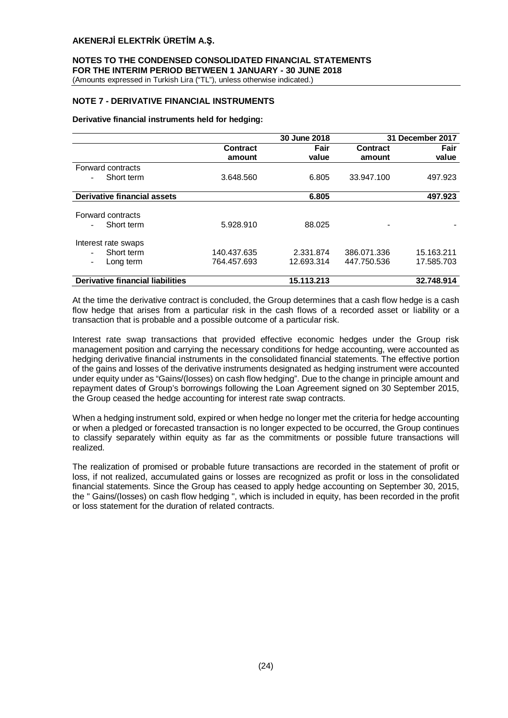# **NOTES TO THE CONDENSED CONSOLIDATED FINANCIAL STATEMENTS FOR THE INTERIM PERIOD BETWEEN 1 JANUARY - 30 JUNE 2018**

(Amounts expressed in Turkish Lira ("TL"), unless otherwise indicated.)

# **NOTE 7 - DERIVATIVE FINANCIAL INSTRUMENTS**

## **Derivative financial instruments held for hedging:**

|                                         |                    | 30 June 2018  |                           | 31 December 2017 |
|-----------------------------------------|--------------------|---------------|---------------------------|------------------|
|                                         | Contract<br>amount | Fair<br>value | <b>Contract</b><br>amount | Fair<br>value    |
| Forward contracts                       |                    |               |                           |                  |
| Short term                              | 3.648.560          | 6.805         | 33.947.100                | 497.923          |
| Derivative financial assets             |                    | 6.805         |                           | 497.923          |
| Forward contracts<br>Short term         | 5.928.910          | 88.025        |                           |                  |
| Interest rate swaps                     |                    |               |                           |                  |
| Short term                              | 140.437.635        | 2.331.874     | 386.071.336               | 15.163.211       |
| Long term                               | 764.457.693        | 12.693.314    | 447.750.536               | 17.585.703       |
| <b>Derivative financial liabilities</b> |                    | 15.113.213    |                           | 32.748.914       |

At the time the derivative contract is concluded, the Group determines that a cash flow hedge is a cash flow hedge that arises from a particular risk in the cash flows of a recorded asset or liability or a transaction that is probable and a possible outcome of a particular risk.

Interest rate swap transactions that provided effective economic hedges under the Group risk management position and carrying the necessary conditions for hedge accounting, were accounted as hedging derivative financial instruments in the consolidated financial statements. The effective portion of the gains and losses of the derivative instruments designated as hedging instrument were accounted under equity under as "Gains/(losses) on cash flow hedging". Due to the change in principle amount and repayment dates of Group's borrowings following the Loan Agreement signed on 30 September 2015, the Group ceased the hedge accounting for interest rate swap contracts.

When a hedging instrument sold, expired or when hedge no longer met the criteria for hedge accounting or when a pledged or forecasted transaction is no longer expected to be occurred, the Group continues to classify separately within equity as far as the commitments or possible future transactions will realized.

The realization of promised or probable future transactions are recorded in the statement of profit or loss, if not realized, accumulated gains or losses are recognized as profit or loss in the consolidated financial statements. Since the Group has ceased to apply hedge accounting on September 30, 2015, the " Gains/(losses) on cash flow hedging ", which is included in equity, has been recorded in the profit or loss statement for the duration of related contracts.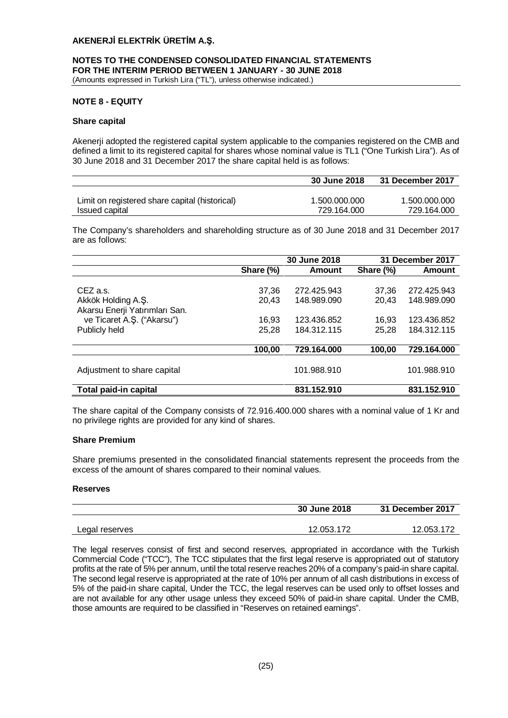## **NOTES TO THE CONDENSED CONSOLIDATED FINANCIAL STATEMENTS FOR THE INTERIM PERIOD BETWEEN 1 JANUARY - 30 JUNE 2018** (Amounts expressed in Turkish Lira ("TL"), unless otherwise indicated.)

## **NOTE 8 - EQUITY**

## **Share capital**

Akenerji adopted the registered capital system applicable to the companies registered on the CMB and defined a limit to its registered capital for shares whose nominal value is TL1 ("One Turkish Lira"). As of 30 June 2018 and 31 December 2017 the share capital held is as follows:

|                                                | 30 June 2018  | 31 December 2017 |
|------------------------------------------------|---------------|------------------|
|                                                |               |                  |
| Limit on registered share capital (historical) | 1.500.000.000 | 1.500.000.000    |
| Issued capital                                 | 729.164.000   | 729.164.000      |

The Company's shareholders and shareholding structure as of 30 June 2018 and 31 December 2017 are as follows:

|                                                                                                                 |                                  | 30 June 2018                                             |                                  | 31 December 2017                                         |
|-----------------------------------------------------------------------------------------------------------------|----------------------------------|----------------------------------------------------------|----------------------------------|----------------------------------------------------------|
|                                                                                                                 | Share (%)                        | Amount                                                   | Share (%)                        | Amount                                                   |
| CEZ a.s.<br>Akkök Holding A.Ş.<br>Akarsu Enerji Yatırımları San.<br>ve Ticaret A.Ş. ("Akarsu")<br>Publicly held | 37,36<br>20.43<br>16,93<br>25,28 | 272.425.943<br>148.989.090<br>123.436.852<br>184.312.115 | 37.36<br>20,43<br>16.93<br>25,28 | 272.425.943<br>148.989.090<br>123.436.852<br>184.312.115 |
|                                                                                                                 | 100,00                           | 729.164.000                                              | 100,00                           | 729.164.000                                              |
| Adjustment to share capital                                                                                     |                                  | 101.988.910                                              |                                  | 101.988.910                                              |
| Total paid-in capital                                                                                           |                                  | 831.152.910                                              |                                  | 831.152.910                                              |

The share capital of the Company consists of 72.916.400.000 shares with a nominal value of 1 Kr and no privilege rights are provided for any kind of shares.

## **Share Premium**

Share premiums presented in the consolidated financial statements represent the proceeds from the excess of the amount of shares compared to their nominal values.

## **Reserves**

|                | 30 June 2018 | 31 December 2017 |
|----------------|--------------|------------------|
| Legal reserves | 12.053.172   | 12.053.172       |

The legal reserves consist of first and second reserves, appropriated in accordance with the Turkish Commercial Code ("TCC"), The TCC stipulates that the first legal reserve is appropriated out of statutory profits at the rate of 5% per annum, until the total reserve reaches 20% of a company's paid-in share capital. The second legal reserve is appropriated at the rate of 10% per annum of all cash distributions in excess of 5% of the paid-in share capital, Under the TCC, the legal reserves can be used only to offset losses and are not available for any other usage unless they exceed 50% of paid-in share capital. Under the CMB, those amounts are required to be classified in "Reserves on retained earnings".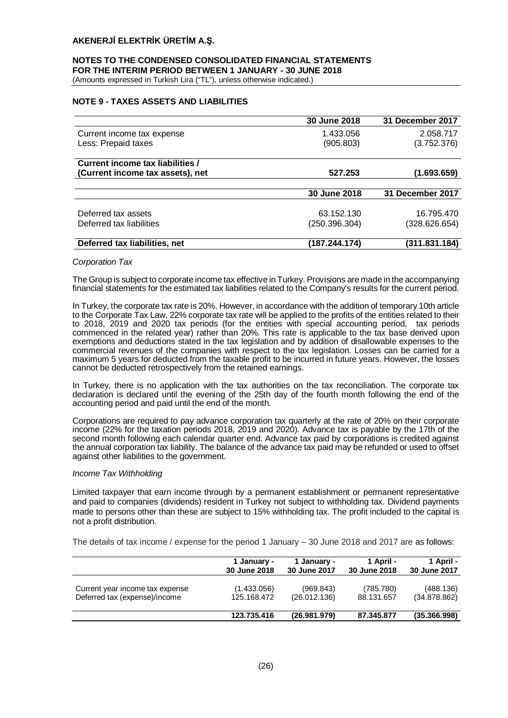## **NOTES TO THE CONDENSED CONSOLIDATED FINANCIAL STATEMENTS FOR THE INTERIM PERIOD BETWEEN 1 JANUARY - 30 JUNE 2018** (Amounts expressed in Turkish Lira ("TL"), unless otherwise indicated.)

# **NOTE 9 - TAXES ASSETS AND LIABILITIES**

|                                  | 30 June 2018  | 31 December 2017 |
|----------------------------------|---------------|------------------|
| Current income tax expense       | 1.433.056     | 2.058.717        |
| Less: Prepaid taxes              | (905.803)     | (3.752.376)      |
| Current income tax liabilities / |               |                  |
| (Current income tax assets), net | 527.253       | (1.693.659)      |
|                                  |               |                  |
|                                  | 30 June 2018  | 31 December 2017 |
|                                  |               |                  |
| Deferred tax assets              | 63.152.130    | 16.795.470       |
| Deferred tax liabilities         | (250.396.304) | (328.626.654)    |
| Deferred tax liabilities, net    | (187.244.174) | (311.831.184)    |

#### *Corporation Tax*

The Group is subject to corporate income tax effective in Turkey. Provisions are made in the accompanying financial statements for the estimated tax liabilities related to the Company's results for the current period.

In Turkey, the corporate tax rate is 20%. However, in accordance with the addition of temporary 10th article to the Corporate Tax Law, 22% corporate tax rate will be applied to the profits of the entities related to their to 2018, 2019 and 2020 tax periods (for the entities with special accounting period, tax periods commenced in the related year) rather than 20%. This rate is applicable to the tax base derived upon exemptions and deductions stated in the tax legislation and by addition of disallowable expenses to the commercial revenues of the companies with respect to the tax legislation. Losses can be carried for a maximum 5 years for deducted from the taxable profit to be incurred in future years. However, the losses cannot be deducted retrospectively from the retained earnings.

In Turkey, there is no application with the tax authorities on the tax reconciliation. The corporate tax declaration is declared until the evening of the 25th day of the fourth month following the end of the accounting period and paid until the end of the month.

Corporations are required to pay advance corporation tax quarterly at the rate of 20% on their corporate income (22% for the taxation periods 2018, 2019 and 2020). Advance tax is payable by the 17th of the second month following each calendar quarter end. Advance tax paid by corporations is credited against the annual corporation tax liability. The balance of the advance tax paid may be refunded or used to offset against other liabilities to the government.

#### *Income Tax Withholding*

Limited taxpayer that earn income through by a permanent establishment or permanent representative and paid to companies (dividends) resident in Turkey not subject to withholding tax. Dividend payments made to persons other than these are subject to 15% withholding tax. The profit included to the capital is not a profit distribution.

The details of tax income / expense for the period 1 January – 30 June 2018 and 2017 are as follows:

|                                 | 1 January -  | 1 January -  | 1 April -    | 1 April -    |
|---------------------------------|--------------|--------------|--------------|--------------|
|                                 | 30 June 2018 | 30 June 2017 | 30 June 2018 | 30 June 2017 |
| Current year income tax expense | (1.433.056)  | (969.843)    | (785.780)    | (488.136)    |
| Deferred tax (expense)/income   | 125.168.472  | (26.012.136) | 88.131.657   | (34.878.862) |
|                                 | 123.735.416  | (26.981.979) | 87.345.877   | (35.366.998) |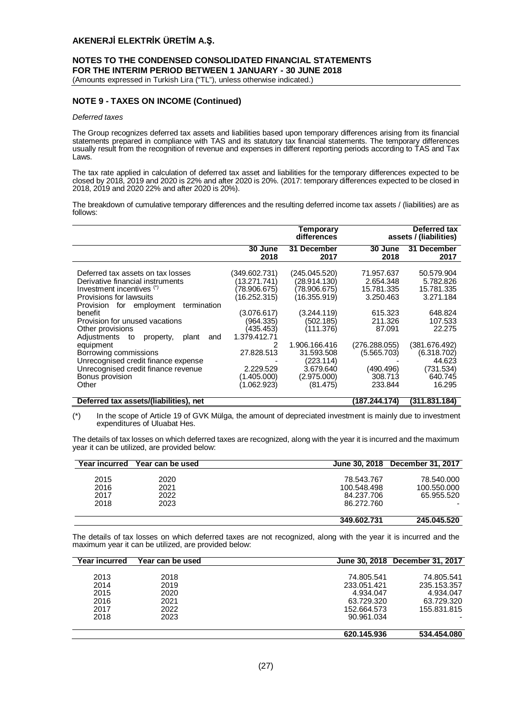## **NOTES TO THE CONDENSED CONSOLIDATED FINANCIAL STATEMENTS FOR THE INTERIM PERIOD BETWEEN 1 JANUARY - 30 JUNE 2018** (Amounts expressed in Turkish Lira ("TL"), unless otherwise indicated.)

**NOTE 9 - TAXES ON INCOME (Continued)**

#### *Deferred taxes*

The Group recognizes deferred tax assets and liabilities based upon temporary differences arising from its financial statements prepared in compliance with TAS and its statutory tax financial statements. The temporary differences usually result from the recognition of revenue and expenses in different reporting periods according to TAS and Tax Laws.

The tax rate applied in calculation of deferred tax asset and liabilities for the temporary differences expected to be closed by 2018, 2019 and 2020 is 22% and after 2020 is 20%. (2017: temporary differences expected to be closed in 2018, 2019 and 2020 22% and after 2020 is 20%).

The breakdown of cumulative temporary differences and the resulting deferred income tax assets / (liabilities) are as follows:

|                                                                                                                                                                                                                                                                                                                                                                                                                                             |                                                                                                                                                                                      | Temporary<br>differences                                                                                                                                                                   |                                                                                                                                                       | Deferred tax<br>assets / (liabilities)                                                                                                                         |
|---------------------------------------------------------------------------------------------------------------------------------------------------------------------------------------------------------------------------------------------------------------------------------------------------------------------------------------------------------------------------------------------------------------------------------------------|--------------------------------------------------------------------------------------------------------------------------------------------------------------------------------------|--------------------------------------------------------------------------------------------------------------------------------------------------------------------------------------------|-------------------------------------------------------------------------------------------------------------------------------------------------------|----------------------------------------------------------------------------------------------------------------------------------------------------------------|
|                                                                                                                                                                                                                                                                                                                                                                                                                                             | 30 June<br>2018                                                                                                                                                                      | 31 December<br>2017                                                                                                                                                                        | 30 June<br>2018                                                                                                                                       | 31 December<br>2017                                                                                                                                            |
| Deferred tax assets on tax losses<br>Derivative financial instruments<br>Investment incentives (*)<br>Provisions for lawsuits<br>termination<br>Provision for employment<br>benefit<br>Provision for unused vacations<br>Other provisions<br>Adjustments<br>to<br>plant<br>and<br>property,<br>equipment<br>Borrowing commissions<br>Unrecognised credit finance expense<br>Unrecognised credit finance revenue<br>Bonus provision<br>Other | (349.602.731)<br>(13.271.741)<br>(78.906.675)<br>(16.252.315)<br>(3.076.617)<br>(964.335)<br>(435.453)<br>1.379.412.71<br>2<br>27.828.513<br>2.229.529<br>(1.405.000)<br>(1.062.923) | (245.045.520)<br>(28.914.130)<br>(78.906.675)<br>(16.355.919)<br>(3.244.119)<br>(502.185)<br>(111.376)<br>1.906.166.416<br>31.593.508<br>(223.114)<br>3.679.640<br>(2.975.000)<br>(81.475) | 71.957.637<br>2.654.348<br>15.781.335<br>3.250.463<br>615.323<br>211.326<br>87.091<br>(276.288.055)<br>(5.565.703)<br>(490.496)<br>308.713<br>233.844 | 50.579.904<br>5.782.826<br>15.781.335<br>3.271.184<br>648.824<br>107.533<br>22.275<br>(381.676.492)<br>(6.318.702)<br>44.623<br>(731.534)<br>640.745<br>16.295 |

#### **Deferred tax assets/(liabilities), net (187.244.174) (311.831.184)**

(\*) In the scope of Article 19 of GVK Mülga, the amount of depreciated investment is mainly due to investment expenditures of Uluabat Hes.

The details of tax losses on which deferred taxes are recognized, along with the year it is incurred and the maximum year it can be utilized, are provided below:

| <b>Year incurred</b> | Year can be used |             | June 30, 2018 December 31, 2017 |
|----------------------|------------------|-------------|---------------------------------|
|                      |                  |             |                                 |
| 2015                 | 2020             | 78.543.767  | 78.540.000                      |
| 2016                 | 2021             | 100.548.498 | 100.550.000                     |
| 2017                 | 2022             | 84.237.706  | 65.955.520                      |
| 2018                 | 2023             | 86.272.760  |                                 |
|                      |                  | 349.602.731 | 245.045.520                     |

The details of tax losses on which deferred taxes are not recognized, along with the year it is incurred and the maximum year it can be utilized, are provided below:

| Year incurred | Year can be used |             | June 30, 2018 December 31, 2017 |
|---------------|------------------|-------------|---------------------------------|
|               |                  |             |                                 |
| 2013          | 2018             | 74.805.541  | 74.805.541                      |
| 2014          | 2019             | 233.051.421 | 235.153.357                     |
| 2015          | 2020             | 4.934.047   | 4.934.047                       |
| 2016          | 2021             | 63.729.320  | 63.729.320                      |
| 2017          | 2022             | 152.664.573 | 155.831.815                     |
| 2018          | 2023             | 90.961.034  |                                 |
|               |                  | 620.145.936 | 534.454.080                     |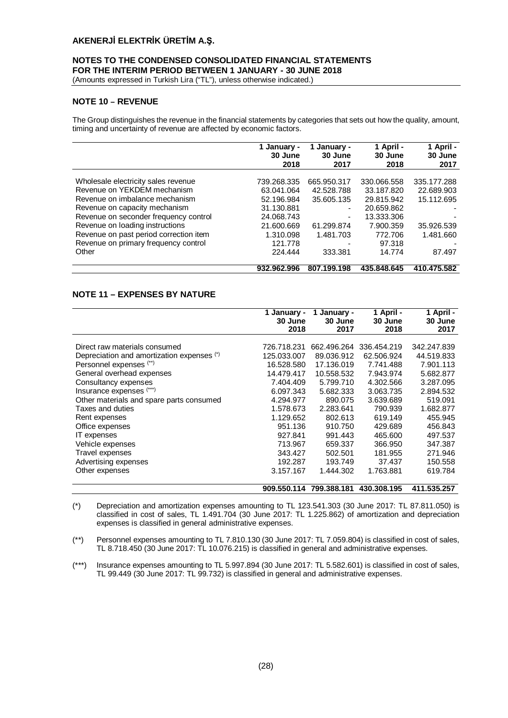## **NOTES TO THE CONDENSED CONSOLIDATED FINANCIAL STATEMENTS FOR THE INTERIM PERIOD BETWEEN 1 JANUARY - 30 JUNE 2018**

(Amounts expressed in Turkish Lira ("TL"), unless otherwise indicated.)

## **NOTE 10 – REVENUE**

The Group distinguishes the revenue in the financial statements by categories that sets out how the quality, amount, timing and uncertainty of revenue are affected by economic factors.

|                                        | 1 January -<br>30 June<br>2018 | 1 January -<br>30 June<br>2017 | 1 April -<br>30 June<br>2018 | 1 April -<br>30 June<br>2017 |
|----------------------------------------|--------------------------------|--------------------------------|------------------------------|------------------------------|
| Wholesale electricity sales revenue    | 739.268.335                    | 665.950.317                    | 330.066.558                  | 335.177.288                  |
| Revenue on YEKDEM mechanism            |                                |                                |                              |                              |
|                                        | 63.041.064                     | 42.528.788                     | 33.187.820                   | 22.689.903                   |
| Revenue on imbalance mechanism         | 52.196.984                     | 35.605.135                     | 29.815.942                   | 15.112.695                   |
| Revenue on capacity mechanism          | 31.130.881                     | $\overline{\phantom{a}}$       | 20.659.862                   |                              |
| Revenue on seconder frequency control  | 24.068.743                     | $\overline{\phantom{a}}$       | 13.333.306                   |                              |
| Revenue on loading instructions        | 21.600.669                     | 61.299.874                     | 7.900.359                    | 35.926.539                   |
| Revenue on past period correction item | 1.310.098                      | 1.481.703                      | 772.706                      | 1.481.660                    |
| Revenue on primary frequency control   | 121.778                        | -                              | 97.318                       |                              |
| Other                                  | 224.444                        | 333.381                        | 14.774                       | 87.497                       |
|                                        | 932.962.996                    | 807.199.198                    | 435.848.645                  | 410.475.582                  |

# **NOTE 11 – EXPENSES BY NATURE**

|                                            | January -<br>30 June<br>2018 | January -<br>30 June<br>2017 | 1 April -<br>30 June<br>2018 | 1 April -<br>30 June<br>2017 |
|--------------------------------------------|------------------------------|------------------------------|------------------------------|------------------------------|
| Direct raw materials consumed              | 726.718.231                  | 662.496.264                  | 336.454.219                  | 342.247.839                  |
| Depreciation and amortization expenses (*) | 125.033.007                  | 89.036.912                   | 62.506.924                   | 44.519.833                   |
| Personnel expenses (**)                    | 16.528.580                   | 17.136.019                   | 7.741.488                    | 7.901.113                    |
| General overhead expenses                  | 14.479.417                   | 10.558.532                   | 7.943.974                    | 5.682.877                    |
|                                            |                              |                              |                              |                              |
| Consultancy expenses                       | 7.404.409                    | 5.799.710                    | 4.302.566                    | 3.287.095                    |
| Insurance expenses (***)                   | 6.097.343                    | 5.682.333                    | 3.063.735                    | 2.894.532                    |
| Other materials and spare parts consumed   | 4.294.977                    | 890.075                      | 3.639.689                    | 519.091                      |
| Taxes and duties                           | 1.578.673                    | 2.283.641                    | 790.939                      | 1.682.877                    |
| Rent expenses                              | 1.129.652                    | 802.613                      | 619.149                      | 455.945                      |
| Office expenses                            | 951.136                      | 910.750                      | 429.689                      | 456.843                      |
| IT expenses                                | 927.841                      | 991.443                      | 465,600                      | 497.537                      |
| Vehicle expenses                           | 713.967                      | 659.337                      | 366.950                      | 347.387                      |
| Travel expenses                            | 343.427                      | 502.501                      | 181.955                      | 271.946                      |
| Advertising expenses                       | 192.287                      | 193.749                      | 37.437                       | 150.558                      |
| Other expenses                             | 3.157.167                    | 1.444.302                    | 1.763.881                    | 619.784                      |
|                                            | 909.550.114                  | 799.388.181                  | 430.308.195                  | 411.535.257                  |

- (\*) Depreciation and amortization expenses amounting to TL 123.541.303 (30 June 2017: TL 87.811.050) is classified in cost of sales, TL 1.491.704 (30 June 2017: TL 1.225.862) of amortization and depreciation expenses is classified in general administrative expenses.
- (\*\*) Personnel expenses amounting to TL 7.810.130 (30 June 2017: TL 7.059.804) is classified in cost of sales, TL 8.718.450 (30 June 2017: TL 10.076.215) is classified in general and administrative expenses.
- (\*\*\*) Insurance expenses amounting to TL 5.997.894 (30 June 2017: TL 5.582.601) is classified in cost of sales, TL 99.449 (30 June 2017: TL 99.732) is classified in general and administrative expenses.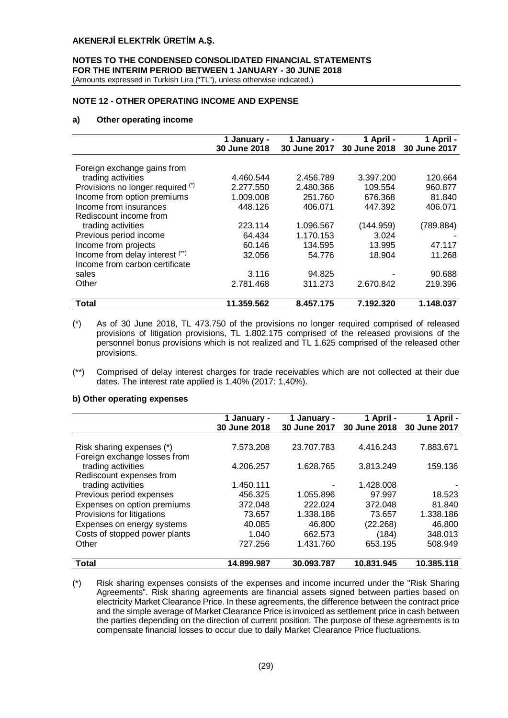# **NOTES TO THE CONDENSED CONSOLIDATED FINANCIAL STATEMENTS FOR THE INTERIM PERIOD BETWEEN 1 JANUARY - 30 JUNE 2018**

(Amounts expressed in Turkish Lira ("TL"), unless otherwise indicated.)

# **NOTE 12 - OTHER OPERATING INCOME AND EXPENSE**

## **a) Other operating income**

|                                   | 1 January -<br>30 June 2018 | 1 January -<br><b>30 June 2017</b> | 1 April -<br>30 June 2018 | 1 April -<br>30 June 2017 |
|-----------------------------------|-----------------------------|------------------------------------|---------------------------|---------------------------|
|                                   |                             |                                    |                           |                           |
| Foreign exchange gains from       |                             |                                    |                           |                           |
| trading activities                | 4.460.544                   | 2.456.789                          | 3.397.200                 | 120.664                   |
| Provisions no longer required (*) | 2.277.550                   | 2.480.366                          | 109.554                   | 960.877                   |
| Income from option premiums       | 1.009.008                   | 251.760                            | 676.368                   | 81.840                    |
| Income from insurances            | 448.126                     | 406.071                            | 447.392                   | 406.071                   |
| Rediscount income from            |                             |                                    |                           |                           |
| trading activities                | 223.114                     | 1.096.567                          | (144.959)                 | (789.884)                 |
| Previous period income            | 64.434                      | 1.170.153                          | 3.024                     |                           |
| Income from projects              | 60.146                      | 134.595                            | 13.995                    | 47.117                    |
| Income from delay interest (**)   | 32.056                      | 54.776                             | 18.904                    | 11.268                    |
| Income from carbon certificate    |                             |                                    |                           |                           |
| sales                             | 3.116                       | 94.825                             |                           | 90.688                    |
| Other                             | 2.781.468                   | 311.273                            | 2.670.842                 | 219.396                   |
|                                   |                             |                                    |                           |                           |
| Total                             | 11.359.562                  | 8.457.175                          | 7.192.320                 | 1.148.037                 |

(\*) As of 30 June 2018, TL 473.750 of the provisions no longer required comprised of released provisions of litigation provisions, TL 1.802.175 comprised of the released provisions of the personnel bonus provisions which is not realized and TL 1.625 comprised of the released other provisions.

(\*\*) Comprised of delay interest charges for trade receivables which are not collected at their due dates. The interest rate applied is 1,40% (2017: 1,40%).

#### **b) Other operating expenses**

|                               | 1 January -<br>30 June 2018 | 1 January -<br>30 June 2017 | 1 April $-$<br>30 June 2018 | 1 April -<br>30 June 2017 |
|-------------------------------|-----------------------------|-----------------------------|-----------------------------|---------------------------|
|                               |                             |                             |                             |                           |
| Risk sharing expenses (*)     | 7.573.208                   | 23.707.783                  | 4.416.243                   | 7.883.671                 |
| Foreign exchange losses from  |                             |                             |                             |                           |
| trading activities            | 4.206.257                   | 1.628.765                   | 3.813.249                   | 159.136                   |
| Rediscount expenses from      |                             |                             |                             |                           |
| trading activities            | 1.450.111                   |                             | 1.428.008                   |                           |
| Previous period expenses      | 456.325                     | 1.055.896                   | 97.997                      | 18.523                    |
| Expenses on option premiums   | 372.048                     | 222.024                     | 372.048                     | 81.840                    |
| Provisions for litigations    | 73.657                      | 1.338.186                   | 73.657                      | 1.338.186                 |
| Expenses on energy systems    | 40.085                      | 46,800                      | (22.268)                    | 46,800                    |
| Costs of stopped power plants | 1.040                       | 662.573                     | (184)                       | 348.013                   |
| Other                         | 727.256                     | 1.431.760                   | 653.195                     | 508.949                   |
| Total                         | 14.899.987                  | 30.093.787                  | 10.831.945                  | 10.385.118                |

(\*) Risk sharing expenses consists of the expenses and income incurred under the "Risk Sharing Agreements". Risk sharing agreements are financial assets signed between parties based on electricity Market Clearance Price. In these agreements, the difference between the contract price and the simple average of Market Clearance Price is invoiced as settlement price in cash between the parties depending on the direction of current position. The purpose of these agreements is to compensate financial losses to occur due to daily Market Clearance Price fluctuations.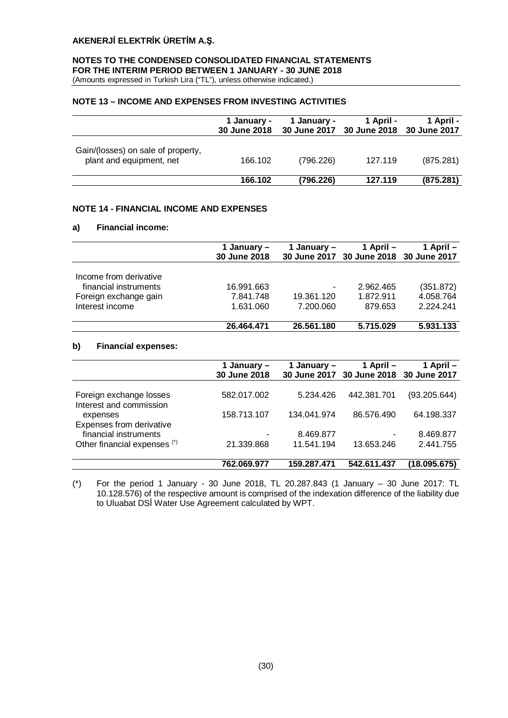# **NOTES TO THE CONDENSED CONSOLIDATED FINANCIAL STATEMENTS FOR THE INTERIM PERIOD BETWEEN 1 JANUARY - 30 JUNE 2018**

(Amounts expressed in Turkish Lira ("TL"), unless otherwise indicated.)

## **NOTE 13 – INCOME AND EXPENSES FROM INVESTING ACTIVITIES**

|                                                                | 1 January -<br>30 June 2018 | 1 January - | 1 April -<br>30 June 2017 30 June 2018 30 June 2017 | 1 April - |
|----------------------------------------------------------------|-----------------------------|-------------|-----------------------------------------------------|-----------|
| Gain/(losses) on sale of property,<br>plant and equipment, net | 166.102                     | (796.226)   | 127.119                                             | (875.281) |
|                                                                | 166.102                     | (796.226)   | 127.119                                             | (875.281) |

## **NOTE 14 - FINANCIAL INCOME AND EXPENSES**

## **a) Financial income:**

|                        | 1 January –<br>30 June 2018 | 1 January – | 1 April –<br>30 June 2017 30 June 2018 30 June 2017 | 1 April – |
|------------------------|-----------------------------|-------------|-----------------------------------------------------|-----------|
| Income from derivative |                             |             |                                                     |           |
| financial instruments  | 16.991.663                  | ٠           | 2.962.465                                           | (351.872) |
| Foreign exchange gain  | 7.841.748                   | 19.361.120  | 1.872.911                                           | 4.058.764 |
| Interest income        | 1.631.060                   | 7.200.060   | 879.653                                             | 2.224.241 |
|                        | 26.464.471                  | 26.561.180  | 5.715.029                                           | 5.931.133 |

# **b) Financial expenses:**

|                                                    | 1 January –<br>30 June 2018 | 1 January – | 1 April $-$<br>30 June 2017 30 June 2018 30 June 2017 | 1 April –    |
|----------------------------------------------------|-----------------------------|-------------|-------------------------------------------------------|--------------|
| Foreign exchange losses<br>Interest and commission | 582.017.002                 | 5.234.426   | 442.381.701                                           | (93.205.644) |
| expenses<br>Expenses from derivative               | 158.713.107                 | 134.041.974 | 86.576.490                                            | 64.198.337   |
| financial instruments                              |                             | 8.469.877   | ۰                                                     | 8.469.877    |
| Other financial expenses (*)                       | 21.339.868                  | 11.541.194  | 13.653.246                                            | 2.441.755    |
|                                                    | 762.069.977                 | 159.287.471 | 542.611.437                                           | (18.095.675) |

(\*) For the period 1 January - 30 June 2018, TL 20.287.843 (1 January – 30 June 2017: TL 10.128.576) of the respective amount is comprised of the indexation difference of the liability due to Uluabat DSİ Water Use Agreement calculated by WPT.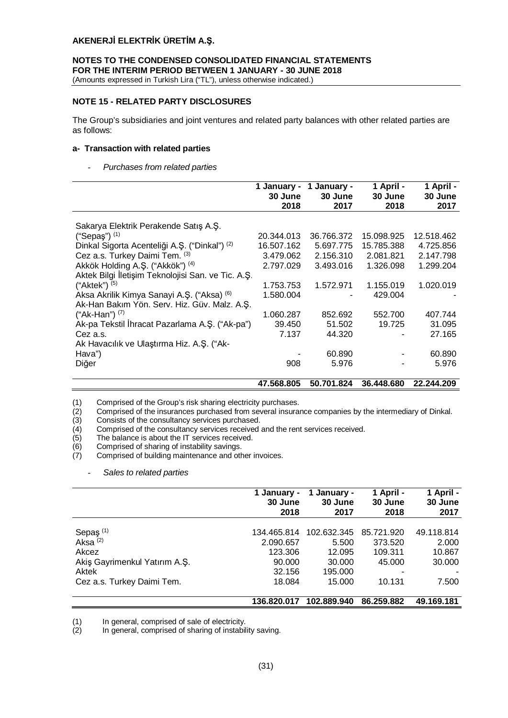# **NOTES TO THE CONDENSED CONSOLIDATED FINANCIAL STATEMENTS FOR THE INTERIM PERIOD BETWEEN 1 JANUARY - 30 JUNE 2018**

(Amounts expressed in Turkish Lira ("TL"), unless otherwise indicated.)

## **NOTE 15 - RELATED PARTY DISCLOSURES**

The Group's subsidiaries and joint ventures and related party balances with other related parties are as follows:

## **a- Transaction with related parties**

- *Purchases from related parties*

|                                                    | 1 January -<br>30 June<br>2018 | January -<br>30 June<br>2017 | 1 April -<br>30 June<br>2018 | 1 April -<br>30 June<br>2017 |
|----------------------------------------------------|--------------------------------|------------------------------|------------------------------|------------------------------|
| Sakarya Elektrik Perakende Satış A.Ş.              |                                |                              |                              |                              |
| ("Sepaş") $(1)$                                    | 20.344.013                     | 36.766.372                   | 15.098.925                   | 12.518.462                   |
| Dinkal Sigorta Acenteliği A.Ş. ("Dinkal") (2)      | 16.507.162                     | 5.697.775                    | 15.785.388                   | 4.725.856                    |
| Cez a.s. Turkey Daimi Tem. (3)                     | 3.479.062                      | 2.156.310                    | 2.081.821                    | 2.147.798                    |
| Akkök Holding A.Ş. ("Akkök") (4)                   | 2.797.029                      | 3.493.016                    | 1.326.098                    | 1.299.204                    |
| Aktek Bilgi İletişim Teknolojisi San. ve Tic. A.Ş. |                                |                              |                              |                              |
| ("Aktek") $(5)$                                    | 1.753.753                      | 1.572.971                    | 1.155.019                    | 1.020.019                    |
| Aksa Akrilik Kimya Sanayi A.Ş. ("Aksa) (6)         | 1.580.004                      |                              | 429.004                      |                              |
| Ak-Han Bakım Yön. Serv. Hiz. Güv. Malz. A.Ş.       |                                |                              |                              |                              |
| ("Ak-Han") $(7)$                                   | 1.060.287                      | 852.692                      | 552.700                      | 407.744                      |
| Ak-pa Tekstil İhracat Pazarlama A.Ş. ("Ak-pa")     | 39.450                         | 51.502                       | 19.725                       | 31.095                       |
| Cez a.s.                                           | 7.137                          | 44.320                       |                              | 27.165                       |
| Ak Havacılık ve Ulaştırma Hiz. A.Ş. ("Ak-          |                                |                              |                              |                              |
| Hava")                                             |                                | 60.890                       |                              | 60.890                       |
| Diğer                                              | 908                            | 5.976                        |                              | 5.976                        |
|                                                    |                                |                              |                              |                              |
|                                                    | 47.568.805                     | 50.701.824                   | 36.448.680                   | 22.244.209                   |

Comprised of the insurances purchased from several insurance companies by the intermediary of Dinkal.

Consists of the consultancy services purchased.

(1) Comprised of the Group's risk sharing electricity purchases.<br>
(2) Comprised of the insurances purchased from several insura<br>
(3) Consists of the consultancy services purchased.<br>
(4) Comprised of the consultancy service Comprised of the consultancy services received and the rent services received.

The balance is about the IT services received.

(6) Comprised of sharing of instability savings.

Comprised of building maintenance and other invoices.

- *Sales to related parties*

|                               | 1 January -<br>30 June<br>2018 | January -<br>30 June<br>2017 | 1 April -<br>30 June<br>2018 | 1 April -<br>30 June<br>2017 |
|-------------------------------|--------------------------------|------------------------------|------------------------------|------------------------------|
|                               |                                |                              |                              |                              |
| Sepaş <sup>(1)</sup>          | 134.465.814                    | 102.632.345                  | 85.721.920                   | 49.118.814                   |
| Aksa $(2)$                    | 2.090.657                      | 5.500                        | 373.520                      | 2.000                        |
| Akcez                         | 123.306                        | 12.095                       | 109.311                      | 10.867                       |
| Akiş Gayrimenkul Yatırım A.Ş. | 90.000                         | 30.000                       | 45.000                       | 30,000                       |
| Aktek                         | 32.156                         | 195,000                      |                              |                              |
| Cez a.s. Turkey Daimi Tem.    | 18.084                         | 15.000                       | 10.131                       | 7.500                        |
|                               | 136.820.017                    | 102.889.940                  | 86.259.882                   | 49.169.181                   |

(1) In general, comprised of sale of electricity.<br>(2) In general, comprised of sharing of instabil

In general, comprised of sharing of instability saving.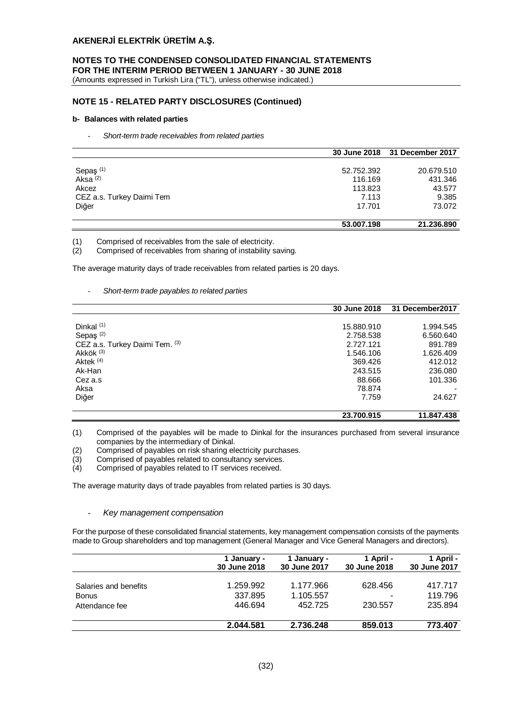# **NOTES TO THE CONDENSED CONSOLIDATED FINANCIAL STATEMENTS FOR THE INTERIM PERIOD BETWEEN 1 JANUARY - 30 JUNE 2018**

(Amounts expressed in Turkish Lira ("TL"), unless otherwise indicated.)

# **NOTE 15 - RELATED PARTY DISCLOSURES (Continued)**

#### **b- Balances with related parties**

- *Short-term trade receivables from related parties*

|                                             |            | 30 June 2018 31 December 2017 |
|---------------------------------------------|------------|-------------------------------|
|                                             |            |                               |
|                                             | 52.752.392 | 20.679.510                    |
| Sepaş <sup>(1)</sup><br>Aksa <sup>(2)</sup> | 116.169    | 431.346                       |
| Akcez                                       | 113.823    | 43.577                        |
| CEZ a.s. Turkey Daimi Tem                   | 7.113      | 9.385                         |
| Diğer                                       | 17.701     | 73.072                        |
|                                             | 53,007.198 | 21.236.890                    |

(1) Comprised of receivables from the sale of electricity.

(2) Comprised of receivables from sharing of instability saving.

The average maturity days of trade receivables from related parties is 20 days.

- *Short-term trade payables to related parties*

|                                | 30 June 2018 | 31 December 2017 |
|--------------------------------|--------------|------------------|
|                                |              |                  |
| Dinkal <sup>(1)</sup>          | 15.880.910   | 1.994.545        |
| Sepaş <sup>(2)</sup>           | 2.758.538    | 6.560.640        |
| CEZ a.s. Turkey Daimi Tem. (3) | 2.727.121    | 891.789          |
| Akkök <sup>(3)</sup>           | 1.546.106    | 1.626.409        |
| Aktek <sup>(4)</sup>           | 369,426      | 412.012          |
| Ak-Han                         | 243.515      | 236.080          |
| Cez a.s                        | 88.666       | 101.336          |
| Aksa                           | 78.874       |                  |
| Diğer                          | 7.759        | 24.627           |
|                                | 23.700.915   | 11.847.438       |

(1) Comprised of the payables will be made to Dinkal for the insurances purchased from several insurance companies by the intermediary of Dinkal.

- (2) Comprised of payables on risk sharing electricity purchases.
- (3) Comprised of payables related to consultancy services.
- (4) Comprised of payables related to IT services received.

The average maturity days of trade payables from related parties is 30 days.

#### - *Key management compensation*

For the purpose of these consolidated financial statements, key management compensation consists of the payments made to Group shareholders and top management (General Manager and Vice General Managers and directors).

|                       | 1 January -<br>30 June 2018 | 1 January -<br>30 June 2017 | 1 April -<br>30 June 2018 | 1 April -<br>30 June 2017 |
|-----------------------|-----------------------------|-----------------------------|---------------------------|---------------------------|
| Salaries and benefits | 1.259.992                   | 1.177.966                   | 628.456                   | 417.717                   |
| <b>Bonus</b>          | 337.895                     | 1.105.557                   |                           | 119.796                   |
| Attendance fee        | 446.694                     | 452.725                     | 230.557                   | 235.894                   |
|                       | 2.044.581                   | 2.736.248                   | 859.013                   | 773.407                   |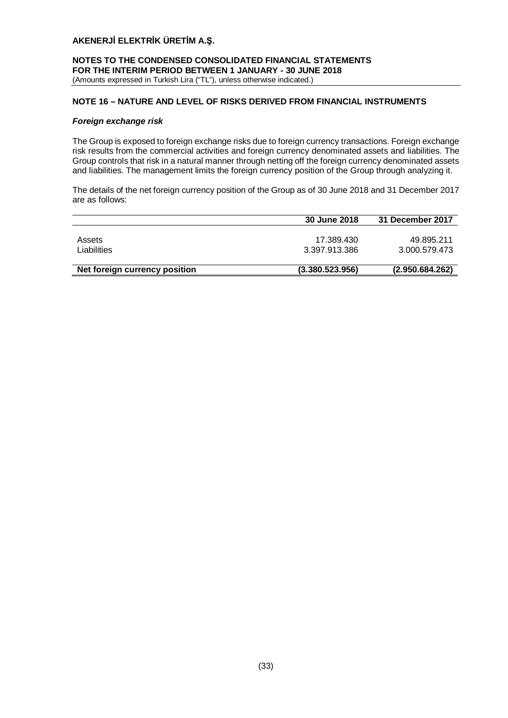## **NOTES TO THE CONDENSED CONSOLIDATED FINANCIAL STATEMENTS FOR THE INTERIM PERIOD BETWEEN 1 JANUARY - 30 JUNE 2018** (Amounts expressed in Turkish Lira ("TL"), unless otherwise indicated.)

# **NOTE 16 – NATURE AND LEVEL OF RISKS DERIVED FROM FINANCIAL INSTRUMENTS**

## *Foreign exchange risk*

The Group is exposed to foreign exchange risks due to foreign currency transactions. Foreign exchange risk results from the commercial activities and foreign currency denominated assets and liabilities. The Group controls that risk in a natural manner through netting off the foreign currency denominated assets and liabilities. The management limits the foreign currency position of the Group through analyzing it.

The details of the net foreign currency position of the Group as of 30 June 2018 and 31 December 2017 are as follows:

|                               | 30 June 2018    | <b>31 December 2017</b> |
|-------------------------------|-----------------|-------------------------|
|                               |                 |                         |
| Assets                        | 17.389.430      | 49.895.211              |
| Liabilities                   | 3.397.913.386   | 3.000.579.473           |
|                               |                 |                         |
| Net foreign currency position | (3.380.523.956) | (2.950.684.262)         |
|                               |                 |                         |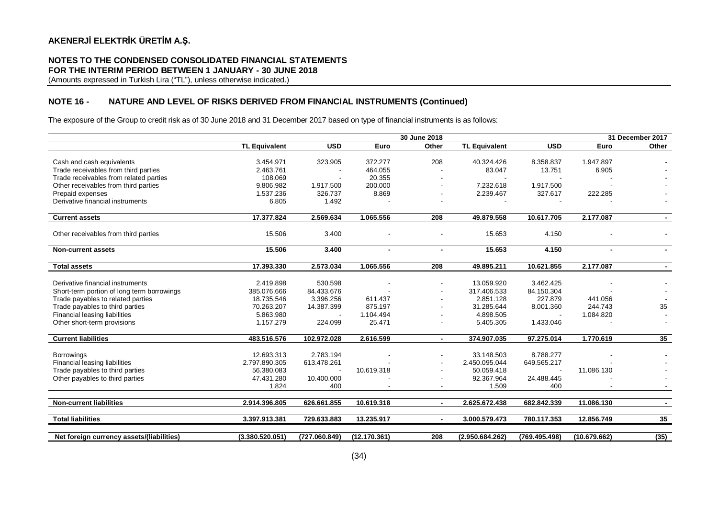## **NOTES TO THE CONDENSED CONSOLIDATED FINANCIAL STATEMENTS FOR THE INTERIM PERIOD BETWEEN 1 JANUARY - 30 JUNE 2018**

(Amounts expressed in Turkish Lira ("TL"), unless otherwise indicated.)

# **NOTE 16 - NATURE AND LEVEL OF RISKS DERIVED FROM FINANCIAL INSTRUMENTS (Continued)**

The exposure of the Group to credit risk as of 30 June 2018 and 31 December 2017 based on type of financial instruments is as follows:

|                                            |                      |               |                | 30 June 2018   |                      |               |                | 31 December 2017 |
|--------------------------------------------|----------------------|---------------|----------------|----------------|----------------------|---------------|----------------|------------------|
|                                            | <b>TL Equivalent</b> | <b>USD</b>    | Euro           | Other          | <b>TL Equivalent</b> | <b>USD</b>    | Euro           | Other            |
|                                            |                      |               |                |                |                      |               |                |                  |
| Cash and cash equivalents                  | 3.454.971            | 323.905       | 372.277        | 208            | 40.324.426           | 8.358.837     | 1.947.897      |                  |
| Trade receivables from third parties       | 2.463.761            |               | 464.055        |                | 83.047               | 13.751        | 6.905          |                  |
| Trade receivables from related parties     | 108.069              |               | 20.355         |                |                      |               |                |                  |
| Other receivables from third parties       | 9.806.982            | 1.917.500     | 200.000        |                | 7.232.618            | 1.917.500     |                |                  |
| Prepaid expenses                           | 1.537.236            | 326.737       | 8.869          |                | 2.239.467            | 327.617       | 222.285        |                  |
| Derivative financial instruments           | 6.805                | 1.492         |                |                |                      |               |                |                  |
| <b>Current assets</b>                      | 17.377.824           | 2.569.634     | 1.065.556      | 208            | 49.879.558           | 10.617.705    | 2.177.087      | $\blacksquare$   |
|                                            |                      |               |                |                |                      |               |                |                  |
| Other receivables from third parties       | 15.506               | 3.400         |                |                | 15.653               | 4.150         |                |                  |
| <b>Non-current assets</b>                  | 15.506               | 3.400         | $\blacksquare$ | $\blacksquare$ | 15.653               | 4.150         | $\blacksquare$ | $\sim$           |
| <b>Total assets</b>                        | 17.393.330           | 2.573.034     | 1.065.556      | 208            | 49.895.211           | 10.621.855    | 2.177.087      |                  |
|                                            |                      |               |                |                |                      |               |                |                  |
| Derivative financial instruments           | 2.419.898            | 530.598       |                |                | 13.059.920           | 3.462.425     |                |                  |
| Short-term portion of long term borrowings | 385.076.666          | 84.433.676    |                |                | 317.406.533          | 84.150.304    |                |                  |
| Trade payables to related parties          | 18.735.546           | 3.396.256     | 611.437        |                | 2.851.128            | 227.879       | 441.056        |                  |
| Trade payables to third parties            | 70.263.207           | 14.387.399    | 875.197        |                | 31.285.644           | 8.001.360     | 244.743        | 35               |
| Financial leasing liabilities              | 5.863.980            |               | 1.104.494      |                | 4.898.505            |               | 1.084.820      |                  |
| Other short-term provisions                | 1.157.279            | 224.099       | 25.471         |                | 5.405.305            | 1.433.046     |                |                  |
|                                            |                      |               |                |                |                      |               |                |                  |
| <b>Current liabilities</b>                 | 483.516.576          | 102.972.028   | 2.616.599      | $\blacksquare$ | 374.907.035          | 97.275.014    | 1.770.619      | 35               |
|                                            |                      |               |                |                |                      |               |                |                  |
| <b>Borrowings</b>                          | 12.693.313           | 2.783.194     |                |                | 33.148.503           | 8.788.277     |                |                  |
| Financial leasing liabilities              | 2.797.890.305        | 613.478.261   |                |                | 2.450.095.044        | 649.565.217   |                |                  |
| Trade payables to third parties            | 56.380.083           |               | 10.619.318     |                | 50.059.418           |               | 11.086.130     |                  |
| Other payables to third parties            | 47.431.280           | 10.400.000    |                |                | 92.367.964           | 24.488.445    |                |                  |
|                                            | 1.824                | 400           |                |                | 1.509                | 400           |                |                  |
|                                            |                      |               |                |                |                      |               |                |                  |
| <b>Non-current liabilities</b>             | 2.914.396.805        | 626.661.855   | 10.619.318     |                | 2.625.672.438        | 682.842.339   | 11.086.130     | $\sim$           |
| <b>Total liabilities</b>                   | 3.397.913.381        | 729.633.883   | 13.235.917     |                | 3.000.579.473        | 780.117.353   | 12.856.749     | 35               |
|                                            |                      |               |                |                |                      |               |                |                  |
| Net foreign currency assets/(liabilities)  | (3.380.520.051)      | (727.060.849) | (12.170.361)   | 208            | (2.950.684.262)      | (769.495.498) | (10.679.662)   | (35)             |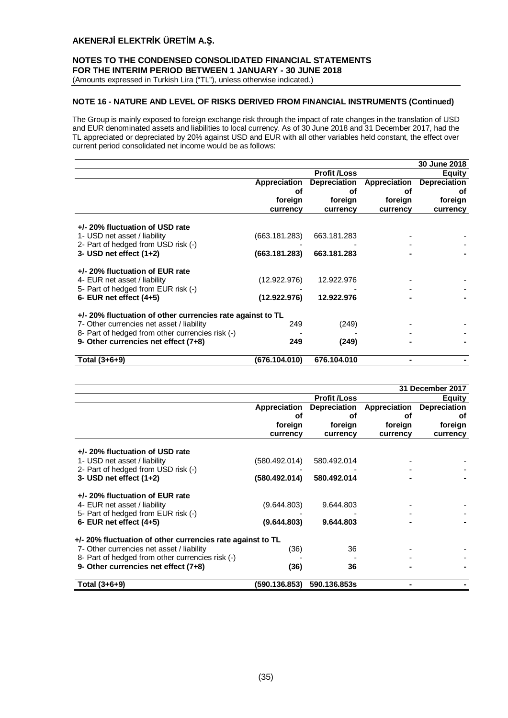## **NOTES TO THE CONDENSED CONSOLIDATED FINANCIAL STATEMENTS FOR THE INTERIM PERIOD BETWEEN 1 JANUARY - 30 JUNE 2018**

(Amounts expressed in Turkish Lira ("TL"), unless otherwise indicated.)

# **NOTE 16 - NATURE AND LEVEL OF RISKS DERIVED FROM FINANCIAL INSTRUMENTS (Continued)**

The Group is mainly exposed to foreign exchange risk through the impact of rate changes in the translation of USD and EUR denominated assets and liabilities to local currency. As of 30 June 2018 and 31 December 2017, had the TL appreciated or depreciated by 20% against USD and EUR with all other variables held constant, the effect over current period consolidated net income would be as follows:

|                                                                                                        |               |                     |              | 30 June 2018        |
|--------------------------------------------------------------------------------------------------------|---------------|---------------------|--------------|---------------------|
|                                                                                                        |               | <b>Profit /Loss</b> |              | <b>Equity</b>       |
|                                                                                                        | Appreciation  | <b>Depreciation</b> | Appreciation | <b>Depreciation</b> |
|                                                                                                        | οf            | οf                  | οf           | οt                  |
|                                                                                                        | foreign       | foreign             | foreign      | foreign             |
|                                                                                                        | currency      | currency            | currency     | currency            |
| +/- 20% fluctuation of USD rate<br>1- USD net asset / liability                                        | (663.181.283) | 663.181.283         |              |                     |
| 2- Part of hedged from USD risk (-)<br>3- USD net effect $(1+2)$                                       | (663.181.283) | 663.181.283         |              |                     |
| +/- 20% fluctuation of EUR rate<br>4- EUR net asset / liability<br>5- Part of hedged from EUR risk (-) | (12.922.976)  | 12.922.976          |              |                     |
| 6- EUR net effect $(4+5)$                                                                              | (12.922.976)  | 12.922.976          |              |                     |
| +/- 20% fluctuation of other currencies rate against to TL                                             |               |                     |              |                     |
| 7- Other currencies net asset / liability                                                              | 249           | (249)               |              |                     |
| 8- Part of hedged from other currencies risk (-)                                                       |               |                     |              |                     |
| 9- Other currencies net effect (7+8)                                                                   | 249           | (249)               |              |                     |
| Total (3+6+9)                                                                                          | (676.104.010) | 676.104.010         |              |                     |

| 31 December 2017                                                    |               |                     |              |                     |
|---------------------------------------------------------------------|---------------|---------------------|--------------|---------------------|
|                                                                     |               | <b>Profit /Loss</b> |              | <b>Equity</b>       |
|                                                                     | Appreciation  | <b>Depreciation</b> | Appreciation | <b>Depreciation</b> |
|                                                                     | οf            | оf                  | οf           | οf                  |
|                                                                     | foreign       | foreign             | foreign      | foreign             |
|                                                                     | currency      | currency            | currency     | currency            |
| +/- 20% fluctuation of USD rate                                     |               |                     |              |                     |
| 1- USD net asset / liability<br>2- Part of hedged from USD risk (-) | (580.492.014) | 580.492.014         |              |                     |
| 3- USD net effect $(1+2)$                                           | (580.492.014) | 580.492.014         |              |                     |
| +/- 20% fluctuation of EUR rate                                     |               |                     |              |                     |
| 4- EUR net asset / liability                                        | (9.644.803)   | 9.644.803           |              |                     |
| 5- Part of hedged from EUR risk (-)                                 |               |                     |              |                     |
| 6- EUR net effect $(4+5)$                                           | (9.644.803)   | 9.644.803           |              |                     |
| +/- 20% fluctuation of other currencies rate against to TL          |               |                     |              |                     |
| 7- Other currencies net asset / liability                           | (36)          | 36                  |              |                     |
| 8- Part of hedged from other currencies risk (-)                    |               |                     |              |                     |
| 9- Other currencies net effect (7+8)                                | (36)          | 36                  |              |                     |
| Total (3+6+9)                                                       | (590.136.853) | 590.136.853s        |              |                     |